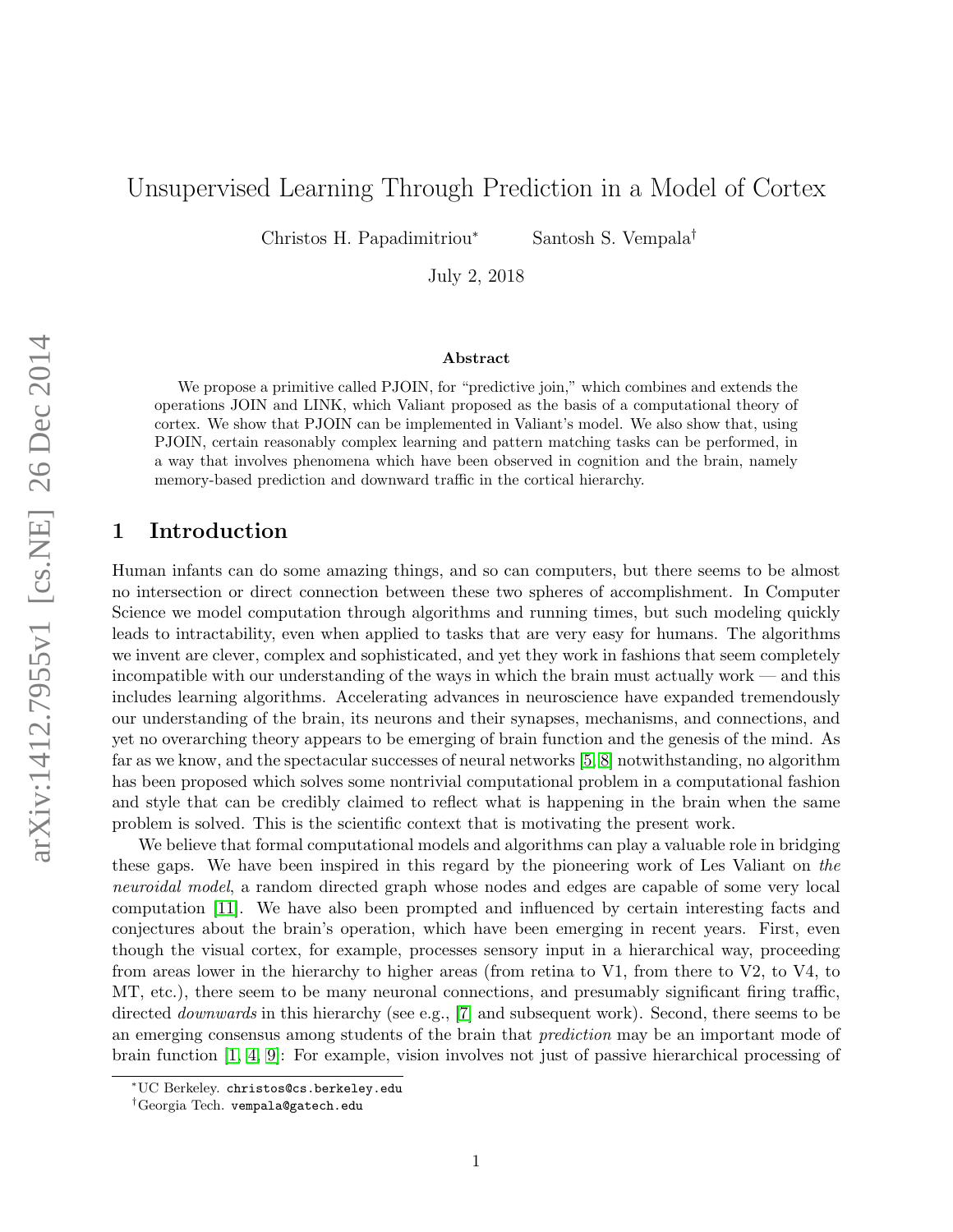# Unsupervised Learning Through Prediction in a Model of Cortex

Christos H. Papadimitriou<sup>∗</sup> Santosh S. Vempala†

July 2, 2018

#### Abstract

We propose a primitive called PJOIN, for "predictive join," which combines and extends the operations JOIN and LINK, which Valiant proposed as the basis of a computational theory of cortex. We show that PJOIN can be implemented in Valiant's model. We also show that, using PJOIN, certain reasonably complex learning and pattern matching tasks can be performed, in a way that involves phenomena which have been observed in cognition and the brain, namely memory-based prediction and downward traffic in the cortical hierarchy.

### 1 Introduction

Human infants can do some amazing things, and so can computers, but there seems to be almost no intersection or direct connection between these two spheres of accomplishment. In Computer Science we model computation through algorithms and running times, but such modeling quickly leads to intractability, even when applied to tasks that are very easy for humans. The algorithms we invent are clever, complex and sophisticated, and yet they work in fashions that seem completely incompatible with our understanding of the ways in which the brain must actually work — and this includes learning algorithms. Accelerating advances in neuroscience have expanded tremendously our understanding of the brain, its neurons and their synapses, mechanisms, and connections, and yet no overarching theory appears to be emerging of brain function and the genesis of the mind. As far as we know, and the spectacular successes of neural networks [\[5,](#page-19-0) [8\]](#page-19-1) notwithstanding, no algorithm has been proposed which solves some nontrivial computational problem in a computational fashion and style that can be credibly claimed to reflect what is happening in the brain when the same problem is solved. This is the scientific context that is motivating the present work.

We believe that formal computational models and algorithms can play a valuable role in bridging these gaps. We have been inspired in this regard by the pioneering work of Les Valiant on the neuroidal model, a random directed graph whose nodes and edges are capable of some very local computation [\[11\]](#page-19-2). We have also been prompted and influenced by certain interesting facts and conjectures about the brain's operation, which have been emerging in recent years. First, even though the visual cortex, for example, processes sensory input in a hierarchical way, proceeding from areas lower in the hierarchy to higher areas (from retina to V1, from there to V2, to V4, to MT, etc.), there seem to be many neuronal connections, and presumably significant firing traffic, directed *downwards* in this hierarchy (see e.g., [\[7\]](#page-19-3) and subsequent work). Second, there seems to be an emerging consensus among students of the brain that prediction may be an important mode of brain function [\[1,](#page-18-0) [4,](#page-19-4) [9\]](#page-19-5): For example, vision involves not just of passive hierarchical processing of

<sup>∗</sup>UC Berkeley. christos@cs.berkeley.edu

<sup>†</sup>Georgia Tech. vempala@gatech.edu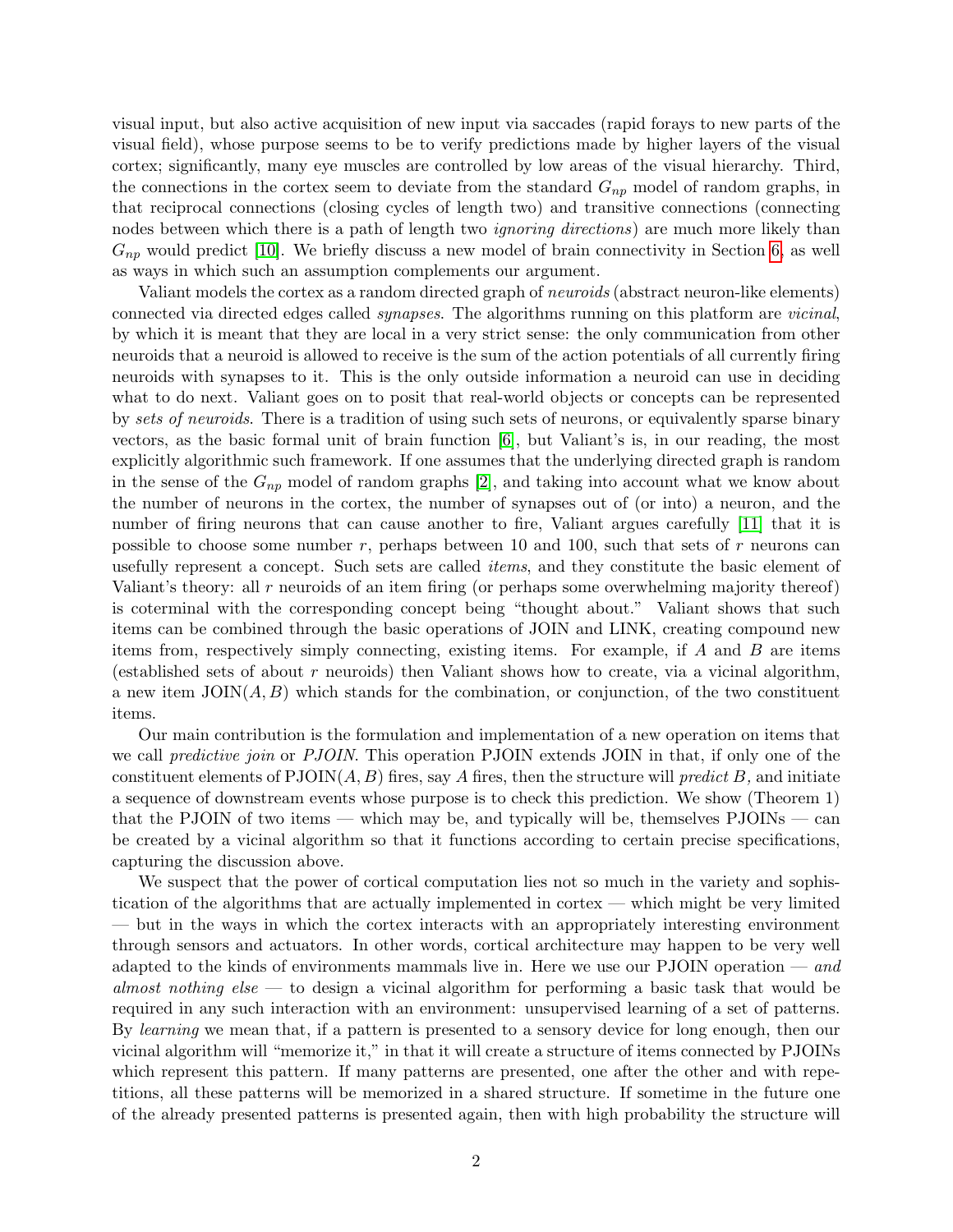visual input, but also active acquisition of new input via saccades (rapid forays to new parts of the visual field), whose purpose seems to be to verify predictions made by higher layers of the visual cortex; significantly, many eye muscles are controlled by low areas of the visual hierarchy. Third, the connections in the cortex seem to deviate from the standard  $G_{np}$  model of random graphs, in that reciprocal connections (closing cycles of length two) and transitive connections (connecting nodes between which there is a path of length two *ignoring directions*) are much more likely than  $G_{np}$  would predict [\[10\]](#page-19-6). We briefly discuss a new model of brain connectivity in Section [6,](#page-15-0) as well as ways in which such an assumption complements our argument.

Valiant models the cortex as a random directed graph of *neuroids* (abstract neuron-like elements) connected via directed edges called synapses. The algorithms running on this platform are vicinal, by which it is meant that they are local in a very strict sense: the only communication from other neuroids that a neuroid is allowed to receive is the sum of the action potentials of all currently firing neuroids with synapses to it. This is the only outside information a neuroid can use in deciding what to do next. Valiant goes on to posit that real-world objects or concepts can be represented by sets of neuroids. There is a tradition of using such sets of neurons, or equivalently sparse binary vectors, as the basic formal unit of brain function [\[6\]](#page-19-7), but Valiant's is, in our reading, the most explicitly algorithmic such framework. If one assumes that the underlying directed graph is random in the sense of the  $G_{np}$  model of random graphs [\[2\]](#page-18-1), and taking into account what we know about the number of neurons in the cortex, the number of synapses out of (or into) a neuron, and the number of firing neurons that can cause another to fire, Valiant argues carefully [\[11\]](#page-19-2) that it is possible to choose some number r, perhaps between 10 and 100, such that sets of r neurons can usefully represent a concept. Such sets are called *items*, and they constitute the basic element of Valiant's theory: all r neuroids of an item firing (or perhaps some overwhelming majority thereof) is coterminal with the corresponding concept being "thought about." Valiant shows that such items can be combined through the basic operations of JOIN and LINK, creating compound new items from, respectively simply connecting, existing items. For example, if  $A$  and  $B$  are items (established sets of about r neuroids) then Valiant shows how to create, via a vicinal algorithm, a new item  $\text{JOIN}(A, B)$  which stands for the combination, or conjunction, of the two constituent items.

Our main contribution is the formulation and implementation of a new operation on items that we call *predictive join* or *PJOIN*. This operation PJOIN extends JOIN in that, if only one of the constituent elements of  $PJOIN(A, B)$  fires, say A fires, then the structure will *predict* B, and initiate a sequence of downstream events whose purpose is to check this prediction. We show (Theorem 1) that the PJOIN of two items — which may be, and typically will be, themselves PJOINs — can be created by a vicinal algorithm so that it functions according to certain precise specifications, capturing the discussion above.

We suspect that the power of cortical computation lies not so much in the variety and sophistication of the algorithms that are actually implemented in cortex — which might be very limited — but in the ways in which the cortex interacts with an appropriately interesting environment through sensors and actuators. In other words, cortical architecture may happen to be very well adapted to the kinds of environments mammals live in. Here we use our PJOIN operation — and almost nothing else — to design a vicinal algorithm for performing a basic task that would be required in any such interaction with an environment: unsupervised learning of a set of patterns. By learning we mean that, if a pattern is presented to a sensory device for long enough, then our vicinal algorithm will "memorize it," in that it will create a structure of items connected by PJOINs which represent this pattern. If many patterns are presented, one after the other and with repetitions, all these patterns will be memorized in a shared structure. If sometime in the future one of the already presented patterns is presented again, then with high probability the structure will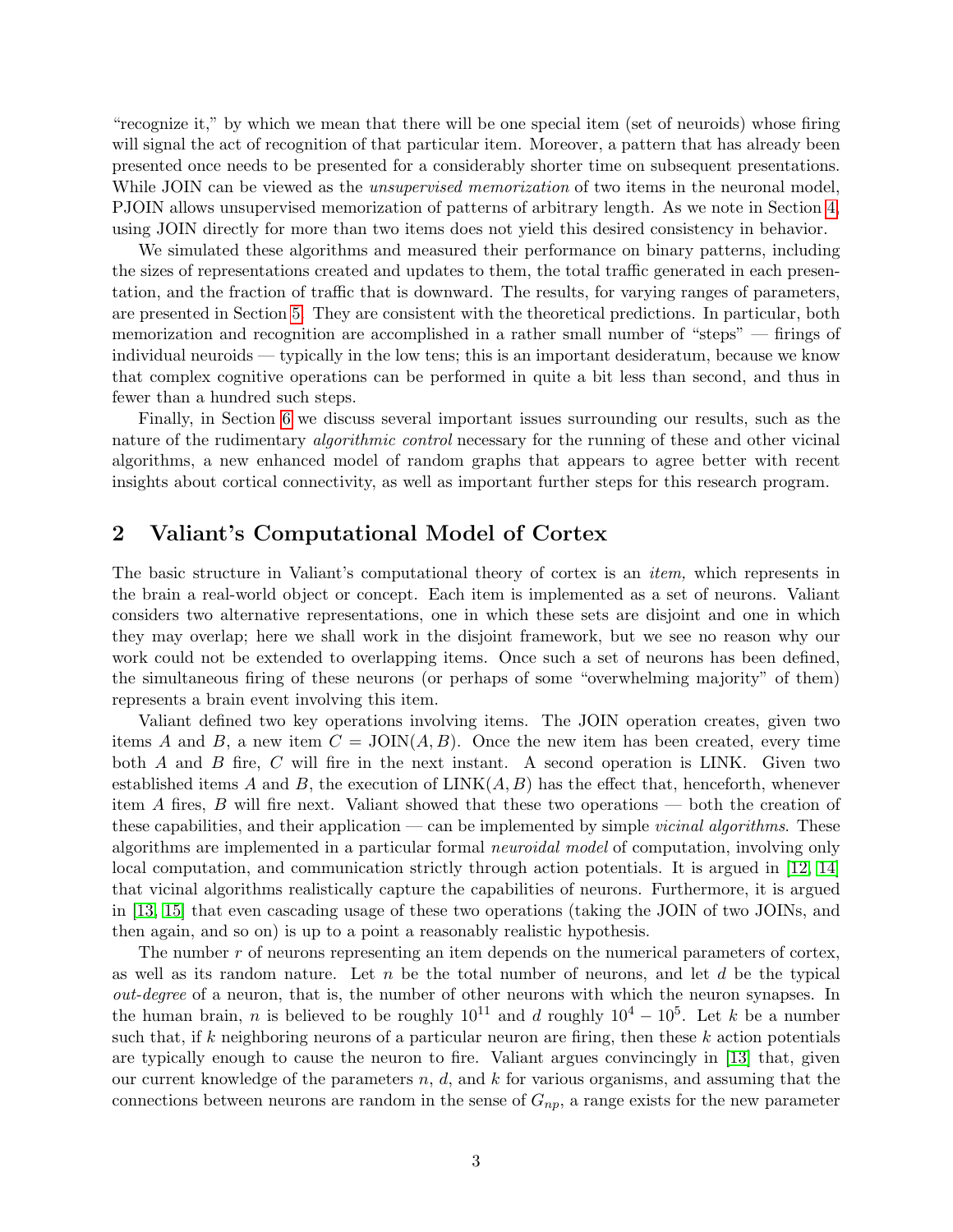"recognize it," by which we mean that there will be one special item (set of neuroids) whose firing will signal the act of recognition of that particular item. Moreover, a pattern that has already been presented once needs to be presented for a considerably shorter time on subsequent presentations. While JOIN can be viewed as the *unsupervised memorization* of two items in the neuronal model, PJOIN allows unsupervised memorization of patterns of arbitrary length. As we note in Section [4,](#page-8-0) using JOIN directly for more than two items does not yield this desired consistency in behavior.

We simulated these algorithms and measured their performance on binary patterns, including the sizes of representations created and updates to them, the total traffic generated in each presentation, and the fraction of traffic that is downward. The results, for varying ranges of parameters, are presented in Section [5.](#page-13-0) They are consistent with the theoretical predictions. In particular, both memorization and recognition are accomplished in a rather small number of "steps" — firings of individual neuroids — typically in the low tens; this is an important desideratum, because we know that complex cognitive operations can be performed in quite a bit less than second, and thus in fewer than a hundred such steps.

Finally, in Section [6](#page-14-0) we discuss several important issues surrounding our results, such as the nature of the rudimentary *algorithmic control* necessary for the running of these and other vicinal algorithms, a new enhanced model of random graphs that appears to agree better with recent insights about cortical connectivity, as well as important further steps for this research program.

## 2 Valiant's Computational Model of Cortex

The basic structure in Valiant's computational theory of cortex is an item, which represents in the brain a real-world object or concept. Each item is implemented as a set of neurons. Valiant considers two alternative representations, one in which these sets are disjoint and one in which they may overlap; here we shall work in the disjoint framework, but we see no reason why our work could not be extended to overlapping items. Once such a set of neurons has been defined, the simultaneous firing of these neurons (or perhaps of some "overwhelming majority" of them) represents a brain event involving this item.

Valiant defined two key operations involving items. The JOIN operation creates, given two items A and B, a new item  $C = JOIN(A, B)$ . Once the new item has been created, every time both  $A$  and  $B$  fire,  $C$  will fire in the next instant. A second operation is LINK. Given two established items A and B, the execution of  $\text{LINK}(A, B)$  has the effect that, henceforth, whenever item A fires, B will fire next. Valiant showed that these two operations — both the creation of these capabilities, and their application — can be implemented by simple *vicinal algorithms*. These algorithms are implemented in a particular formal neuroidal model of computation, involving only local computation, and communication strictly through action potentials. It is argued in [\[12,](#page-19-8) [14\]](#page-19-9) that vicinal algorithms realistically capture the capabilities of neurons. Furthermore, it is argued in [\[13,](#page-19-10) [15\]](#page-19-11) that even cascading usage of these two operations (taking the JOIN of two JOINs, and then again, and so on) is up to a point a reasonably realistic hypothesis.

The number r of neurons representing an item depends on the numerical parameters of cortex, as well as its random nature. Let  $n$  be the total number of neurons, and let  $d$  be the typical out-degree of a neuron, that is, the number of other neurons with which the neuron synapses. In the human brain, n is believed to be roughly  $10^{11}$  and d roughly  $10^4 - 10^5$ . Let k be a number such that, if k neighboring neurons of a particular neuron are firing, then these k action potentials are typically enough to cause the neuron to fire. Valiant argues convincingly in [\[13\]](#page-19-10) that, given our current knowledge of the parameters  $n, d$ , and k for various organisms, and assuming that the connections between neurons are random in the sense of  $G_{np}$ , a range exists for the new parameter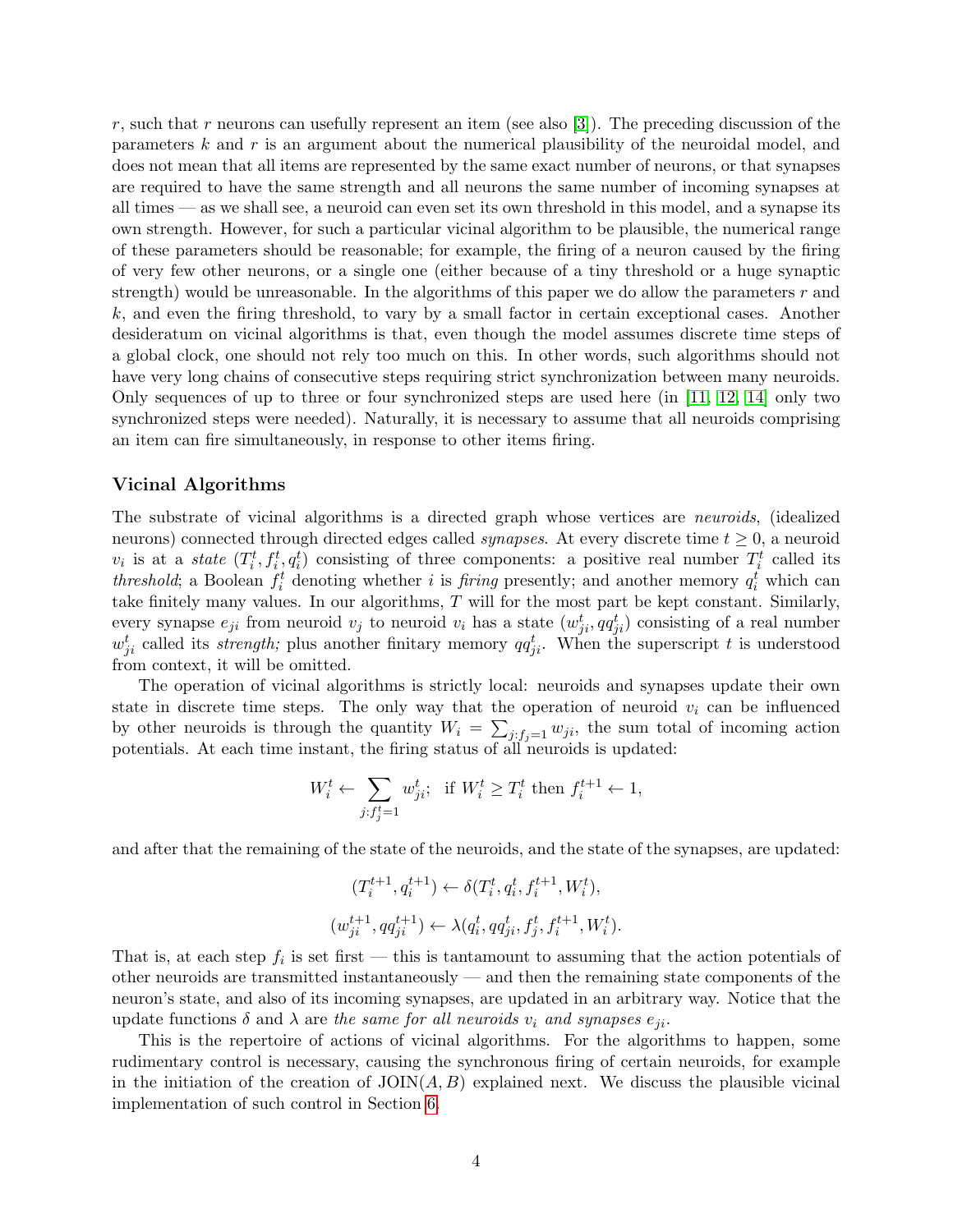r, such that r neurons can usefully represent an item (see also [\[3\]](#page-18-2)). The preceding discussion of the parameters k and r is an argument about the numerical plausibility of the neuroidal model, and does not mean that all items are represented by the same exact number of neurons, or that synapses are required to have the same strength and all neurons the same number of incoming synapses at all times — as we shall see, a neuroid can even set its own threshold in this model, and a synapse its own strength. However, for such a particular vicinal algorithm to be plausible, the numerical range of these parameters should be reasonable; for example, the firing of a neuron caused by the firing of very few other neurons, or a single one (either because of a tiny threshold or a huge synaptic strength) would be unreasonable. In the algorithms of this paper we do allow the parameters  $r$  and k, and even the firing threshold, to vary by a small factor in certain exceptional cases. Another desideratum on vicinal algorithms is that, even though the model assumes discrete time steps of a global clock, one should not rely too much on this. In other words, such algorithms should not have very long chains of consecutive steps requiring strict synchronization between many neuroids. Only sequences of up to three or four synchronized steps are used here (in [\[11,](#page-19-2) [12,](#page-19-8) [14\]](#page-19-9) only two synchronized steps were needed). Naturally, it is necessary to assume that all neuroids comprising an item can fire simultaneously, in response to other items firing.

#### Vicinal Algorithms

The substrate of vicinal algorithms is a directed graph whose vertices are neuroids, (idealized neurons) connected through directed edges called *synapses*. At every discrete time  $t \geq 0$ , a neuroid  $v_i$  is at a *state*  $(T_i^t, f_i^t, q_i^t)$  consisting of three components: a positive real number  $T_i^t$  called its threshold; a Boolean  $f_i^t$  denoting whether i is *firing* presently; and another memory  $q_i^t$  which can take finitely many values. In our algorithms, T will for the most part be kept constant. Similarly, every synapse  $e_{ji}$  from neuroid  $v_j$  to neuroid  $v_i$  has a state  $(w_{ji}^t, qq_{ji}^t)$  consisting of a real number  $w_{ji}^t$  called its *strength*; plus another finitary memory  $qq_{ji}^t$ . When the superscript t is understood from context, it will be omitted.

The operation of vicinal algorithms is strictly local: neuroids and synapses update their own state in discrete time steps. The only way that the operation of neuroid  $v_i$  can be influenced by other neuroids is through the quantity  $W_i = \sum_{j:f_j=1} w_{ji}$ , the sum total of incoming action potentials. At each time instant, the firing status of all neuroids is updated:

$$
W_i^t \leftarrow \sum_{j:f_j^t=1} w_{ji}^t; \text{ if } W_i^t \ge T_i^t \text{ then } f_i^{t+1} \leftarrow 1,
$$

and after that the remaining of the state of the neuroids, and the state of the synapses, are updated:

$$
(T_i^{t+1}, q_i^{t+1}) \leftarrow \delta(T_i^t, q_i^t, f_i^{t+1}, W_i^t),
$$
  

$$
(w_{ji}^{t+1}, qq_{ji}^{t+1}) \leftarrow \lambda(q_i^t, qq_{ji}^t, f_j^t, f_i^{t+1}, W_i^t).
$$

That is, at each step  $f_i$  is set first — this is tantamount to assuming that the action potentials of other neuroids are transmitted instantaneously — and then the remaining state components of the neuron's state, and also of its incoming synapses, are updated in an arbitrary way. Notice that the update functions  $\delta$  and  $\lambda$  are the same for all neuroids  $v_i$  and synapses  $e_{ii}$ .

This is the repertoire of actions of vicinal algorithms. For the algorithms to happen, some rudimentary control is necessary, causing the synchronous firing of certain neuroids, for example in the initiation of the creation of  $\text{JOIN}(A, B)$  explained next. We discuss the plausible vicinal implementation of such control in Section [6.](#page-15-0)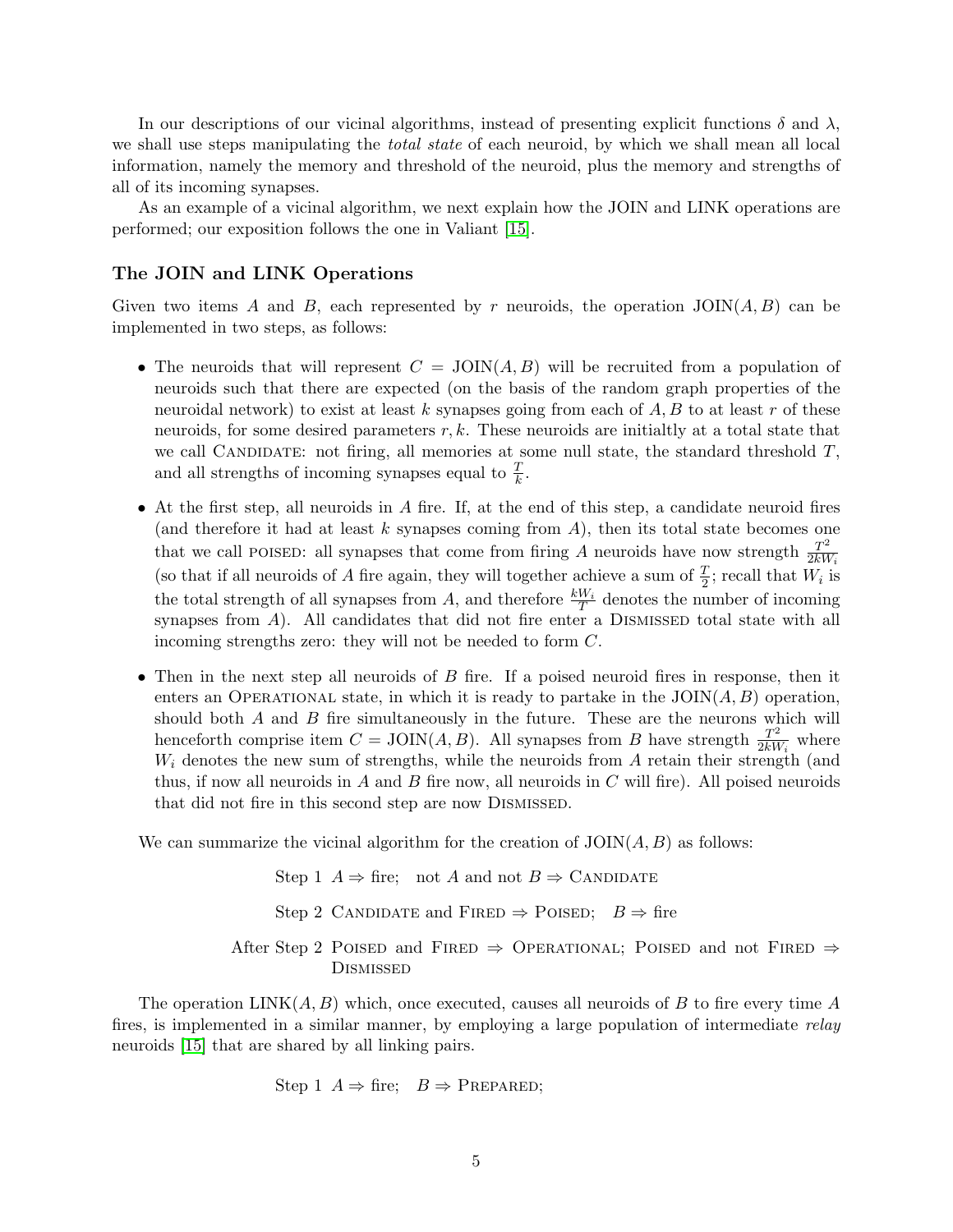In our descriptions of our vicinal algorithms, instead of presenting explicit functions  $\delta$  and  $\lambda$ , we shall use steps manipulating the *total state* of each neuroid, by which we shall mean all local information, namely the memory and threshold of the neuroid, plus the memory and strengths of all of its incoming synapses.

As an example of a vicinal algorithm, we next explain how the JOIN and LINK operations are performed; our exposition follows the one in Valiant [\[15\]](#page-19-11).

### The JOIN and LINK Operations

Given two items A and B, each represented by r neuroids, the operation  $JOIN(A, B)$  can be implemented in two steps, as follows:

- The neuroids that will represent  $C = JOIN(A, B)$  will be recruited from a population of neuroids such that there are expected (on the basis of the random graph properties of the neuroidal network) to exist at least k synapses going from each of  $A, B$  to at least r of these neuroids, for some desired parameters  $r, k$ . These neuroids are initialtly at a total state that we call CANDIDATE: not firing, all memories at some null state, the standard threshold  $T$ , and all strengths of incoming synapses equal to  $\frac{T}{k}$ .
- At the first step, all neuroids in  $A$  fire. If, at the end of this step, a candidate neuroid fires (and therefore it had at least  $k$  synapses coming from  $A$ ), then its total state becomes one that we call POISED: all synapses that come from firing A neuroids have now strength  $\frac{T^2}{2kM}$  $2kW_i$ (so that if all neuroids of A fire again, they will together achieve a sum of  $\frac{T}{2}$ ; recall that  $W_i$  is the total strength of all synapses from A, and therefore  $\frac{kW_i}{T}$  denotes the number of incoming synapses from  $A$ ). All candidates that did not fire enter a DISMISSED total state with all incoming strengths zero: they will not be needed to form C.
- Then in the next step all neuroids of  $B$  fire. If a poised neuroid fires in response, then it enters an OPERATIONAL state, in which it is ready to partake in the  $JOIN(A, B)$  operation, should both  $A$  and  $B$  fire simultaneously in the future. These are the neurons which will henceforth comprise item  $C = JOIN(A, B)$ . All synapses from B have strength  $\frac{T^2}{2kM}$  $\frac{T^2}{2kW_i}$  where  $W_i$  denotes the new sum of strengths, while the neuroids from  $A$  retain their strength (and thus, if now all neuroids in  $A$  and  $B$  fire now, all neuroids in  $C$  will fire). All poised neuroids that did not fire in this second step are now DISMISSED.

We can summarize the vicinal algorithm for the creation of  $JOIN(A, B)$  as follows:

Step 1  $A \Rightarrow$  fire; not A and not  $B \Rightarrow$  CANDIDATE Step 2 CANDIDATE and FIRED  $\Rightarrow$  POISED;  $B \Rightarrow$  fire After Step 2 POISED and FIRED  $\Rightarrow$  OPERATIONAL; POISED and not FIRED  $\Rightarrow$ **DISMISSED** 

The operation  $\text{LINK}(A, B)$  which, once executed, causes all neuroids of B to fire every time A fires, is implemented in a similar manner, by employing a large population of intermediate relay neuroids [\[15\]](#page-19-11) that are shared by all linking pairs.

Step 1 
$$
A \Rightarrow
$$
 fire;  $B \Rightarrow$  PREPARED;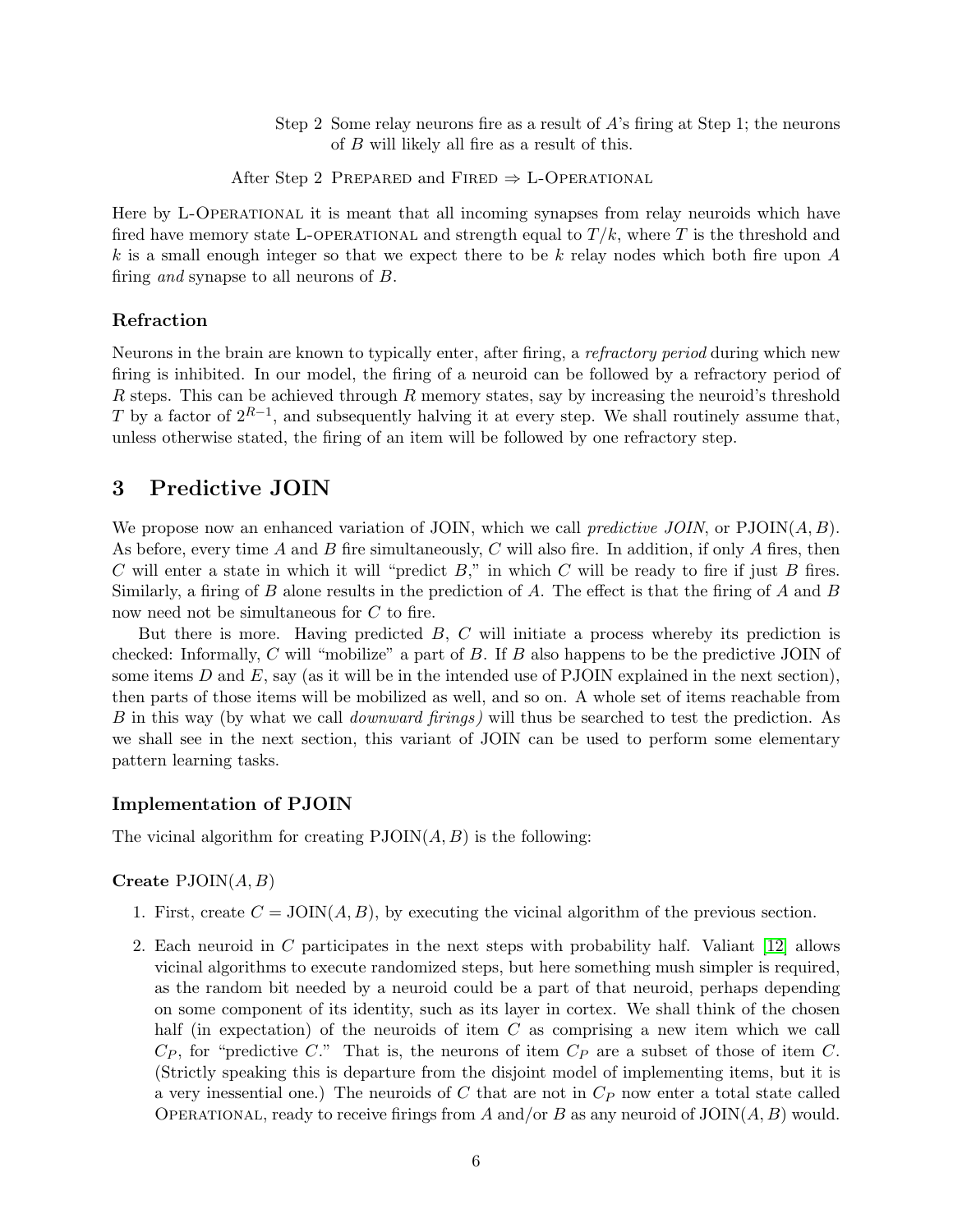Step 2 Some relay neurons fire as a result of A's firing at Step 1; the neurons of B will likely all fire as a result of this.

After Step 2 PREPARED and FIRED  $\Rightarrow$  L-OPERATIONAL

Here by L-OPERATIONAL it is meant that all incoming synapses from relay neuroids which have fired have memory state L-OPERATIONAL and strength equal to  $T/k$ , where T is the threshold and  $k$  is a small enough integer so that we expect there to be  $k$  relay nodes which both fire upon  $A$ firing and synapse to all neurons of B.

### Refraction

Neurons in the brain are known to typically enter, after firing, a refractory period during which new firing is inhibited. In our model, the firing of a neuroid can be followed by a refractory period of  $R$  steps. This can be achieved through  $R$  memory states, say by increasing the neuroid's threshold T by a factor of  $2^{R-1}$ , and subsequently halving it at every step. We shall routinely assume that, unless otherwise stated, the firing of an item will be followed by one refractory step.

### 3 Predictive JOIN

We propose now an enhanced variation of JOIN, which we call *predictive JOIN*, or  $PJOIN(A, B)$ . As before, every time A and B fire simultaneously, C will also fire. In addition, if only A fires, then C will enter a state in which it will "predict  $B$ ," in which C will be ready to fire if just B fires. Similarly, a firing of  $B$  alone results in the prediction of  $A$ . The effect is that the firing of  $A$  and  $B$ now need not be simultaneous for C to fire.

But there is more. Having predicted B, C will initiate a process whereby its prediction is checked: Informally, C will "mobilize" a part of B. If B also happens to be the predictive JOIN of some items  $D$  and  $E$ , say (as it will be in the intended use of PJOIN explained in the next section), then parts of those items will be mobilized as well, and so on. A whole set of items reachable from B in this way (by what we call downward firings) will thus be searched to test the prediction. As we shall see in the next section, this variant of JOIN can be used to perform some elementary pattern learning tasks.

#### Implementation of PJOIN

The vicinal algorithm for creating  $PJOIN(A, B)$  is the following:

#### Create  $PJOIN(A, B)$

- 1. First, create  $C = JOIN(A, B)$ , by executing the vicinal algorithm of the previous section.
- 2. Each neuroid in C participates in the next steps with probability half. Valiant [\[12\]](#page-19-8) allows vicinal algorithms to execute randomized steps, but here something mush simpler is required, as the random bit needed by a neuroid could be a part of that neuroid, perhaps depending on some component of its identity, such as its layer in cortex. We shall think of the chosen half (in expectation) of the neuroids of item C as comprising a new item which we call  $C_P$ , for "predictive C." That is, the neurons of item  $C_P$  are a subset of those of item C. (Strictly speaking this is departure from the disjoint model of implementing items, but it is a very inessential one.) The neuroids of  $C$  that are not in  $C_P$  now enter a total state called OPERATIONAL, ready to receive firings from A and/or B as any neuroid of  $\text{JOIN}(A, B)$  would.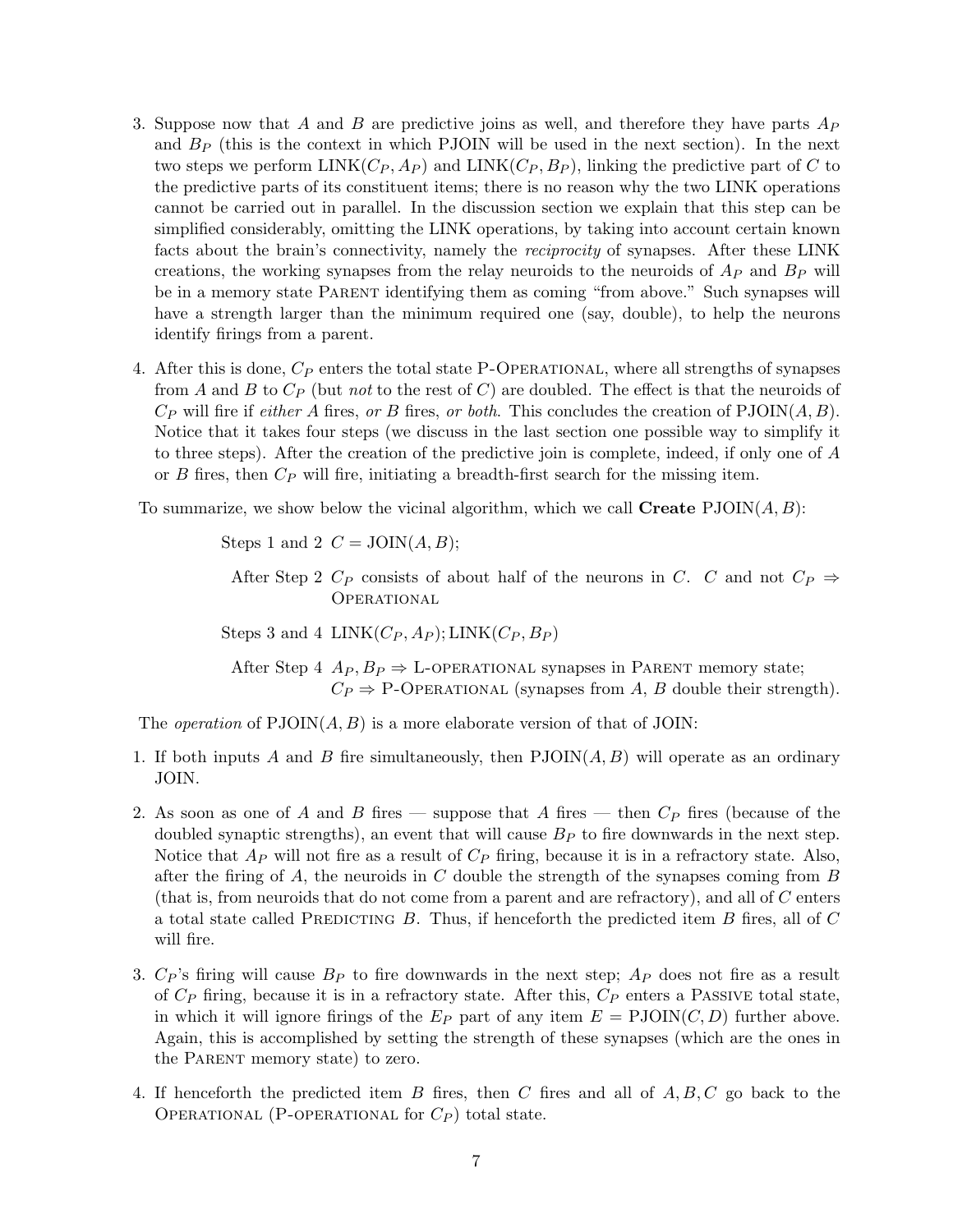- 3. Suppose now that A and B are predictive joins as well, and therefore they have parts  $A_P$ and  $B<sub>P</sub>$  (this is the context in which PJOIN will be used in the next section). In the next two steps we perform LINK( $C_P$ ,  $A_P$ ) and LINK( $C_P$ ,  $B_P$ ), linking the predictive part of C to the predictive parts of its constituent items; there is no reason why the two LINK operations cannot be carried out in parallel. In the discussion section we explain that this step can be simplified considerably, omitting the LINK operations, by taking into account certain known facts about the brain's connectivity, namely the reciprocity of synapses. After these LINK creations, the working synapses from the relay neuroids to the neuroids of  $A_P$  and  $B_P$  will be in a memory state PARENT identifying them as coming "from above." Such synapses will have a strength larger than the minimum required one (say, double), to help the neurons identify firings from a parent.
- 4. After this is done,  $C_P$  enters the total state P-OPERATIONAL, where all strengths of synapses from A and B to  $C_P$  (but not to the rest of C) are doubled. The effect is that the neuroids of  $C_P$  will fire if *either A* fires, or B fires, or *both*. This concludes the creation of  $PJOIN(A, B)$ . Notice that it takes four steps (we discuss in the last section one possible way to simplify it to three steps). After the creation of the predictive join is complete, indeed, if only one of A or  $B$  fires, then  $C_P$  will fire, initiating a breadth-first search for the missing item.

To summarize, we show below the vicinal algorithm, which we call  $\mathbf{Create}\ \mathsf{PJOIN}(A, B)$ :

Steps 1 and 2  $C = JOIN(A, B);$ 

After Step 2  $C_P$  consists of about half of the neurons in C. C and not  $C_P \Rightarrow$ **OPERATIONAL** 

Steps 3 and 4 LINK $(C_P, A_P)$ ; LINK $(C_P, B_P)$ 

After Step 4  $Ap, B_P \Rightarrow$  L-OPERATIONAL synapses in PARENT memory state;  $C_P \Rightarrow$  P-OPERATIONAL (synapses from A, B double their strength).

The *operation* of  $PJOIN(A, B)$  is a more elaborate version of that of JOIN:

- 1. If both inputs A and B fire simultaneously, then  $PJOIN(A, B)$  will operate as an ordinary JOIN.
- 2. As soon as one of A and B fires suppose that A fires then  $C_P$  fires (because of the doubled synaptic strengths), an event that will cause  $B<sub>P</sub>$  to fire downwards in the next step. Notice that  $A_P$  will not fire as a result of  $C_P$  firing, because it is in a refractory state. Also, after the firing of A, the neuroids in C double the strength of the synapses coming from  $B$ (that is, from neuroids that do not come from a parent and are refractory), and all of C enters a total state called PREDICTING B. Thus, if henceforth the predicted item B fires, all of  $C$ will fire.
- 3.  $C_P$ 's firing will cause  $B_P$  to fire downwards in the next step;  $A_P$  does not fire as a result of  $C_P$  firing, because it is in a refractory state. After this,  $C_P$  enters a PASSIVE total state. in which it will ignore firings of the  $E_P$  part of any item  $E = \text{PJOIN}(C, D)$  further above. Again, this is accomplished by setting the strength of these synapses (which are the ones in the PARENT memory state) to zero.
- 4. If henceforth the predicted item B fires, then C fires and all of  $A, B, C$  go back to the OPERATIONAL (P-OPERATIONAL for  $C_P$ ) total state.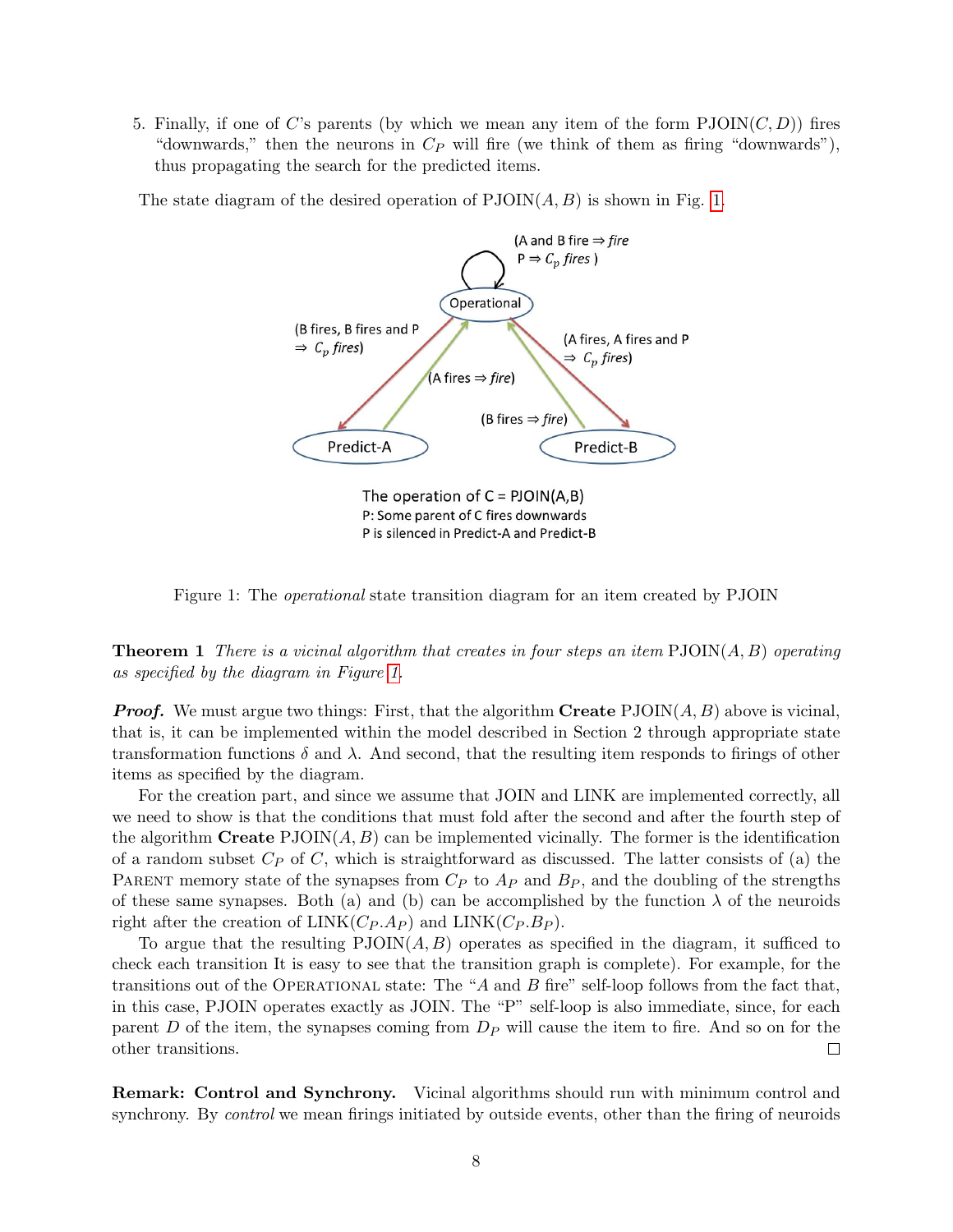5. Finally, if one of C's parents (by which we mean any item of the form  $PJOIN(C, D)$ ) fires "downwards," then the neurons in  $C_P$  will fire (we think of them as firing "downwards"), thus propagating the search for the predicted items.

The state diagram of the desired operation of  $PJOIN(A, B)$  is shown in Fig. [1.](#page-7-0)



<span id="page-7-0"></span>Figure 1: The operational state transition diagram for an item created by PJOIN

**Theorem 1** There is a vicinal algorithm that creates in four steps an item  $PJOIN(A, B)$  operating as specified by the diagram in Figure [1.](#page-7-0)

**Proof.** We must argue two things: First, that the algorithm **Create**  $PJOIN(A, B)$  above is vicinal, that is, it can be implemented within the model described in Section 2 through appropriate state transformation functions  $\delta$  and  $\lambda$ . And second, that the resulting item responds to firings of other items as specified by the diagram.

For the creation part, and since we assume that JOIN and LINK are implemented correctly, all we need to show is that the conditions that must fold after the second and after the fourth step of the algorithm Create  $PJOIN(A, B)$  can be implemented vicinally. The former is the identification of a random subset  $C_P$  of C, which is straightforward as discussed. The latter consists of (a) the PARENT memory state of the synapses from  $C_P$  to  $A_P$  and  $B_P$ , and the doubling of the strengths of these same synapses. Both (a) and (b) can be accomplished by the function  $\lambda$  of the neuroids right after the creation of  $LINK(C_P.A_P)$  and  $LINK(C_P.B_P)$ .

To argue that the resulting  $PJOIN(A, B)$  operates as specified in the diagram, it sufficed to check each transition It is easy to see that the transition graph is complete). For example, for the transitions out of the OPERATIONAL state: The "A and B fire" self-loop follows from the fact that, in this case, PJOIN operates exactly as JOIN. The "P" self-loop is also immediate, since, for each parent D of the item, the synapses coming from  $D<sub>P</sub>$  will cause the item to fire. And so on for the other transitions.  $\Box$ 

Remark: Control and Synchrony. Vicinal algorithms should run with minimum control and synchrony. By *control* we mean firings initiated by outside events, other than the firing of neuroids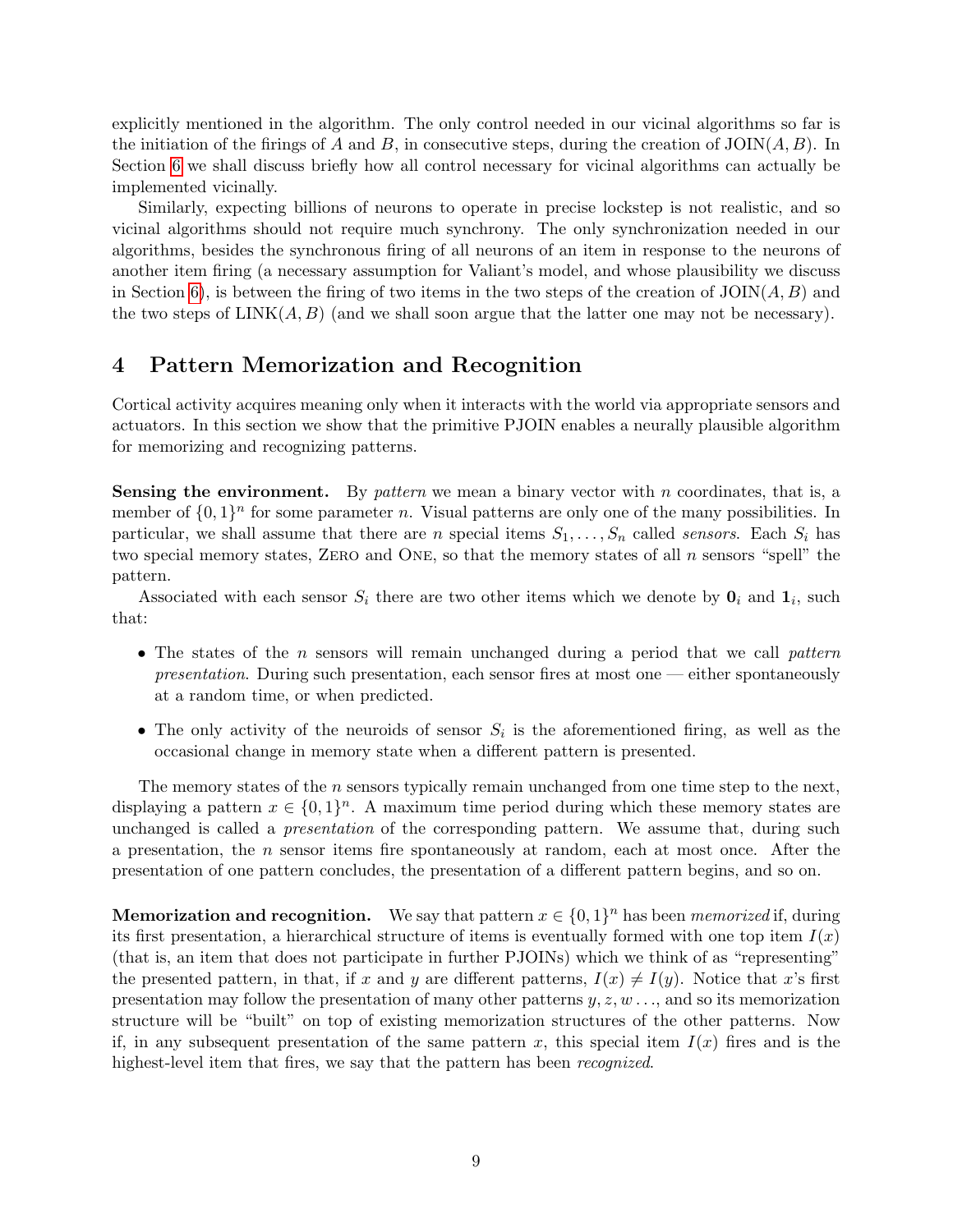explicitly mentioned in the algorithm. The only control needed in our vicinal algorithms so far is the initiation of the firings of A and B, in consecutive steps, during the creation of  $\text{JOIN}(A, B)$ . In Section [6](#page-15-0) we shall discuss briefly how all control necessary for vicinal algorithms can actually be implemented vicinally.

Similarly, expecting billions of neurons to operate in precise lockstep is not realistic, and so vicinal algorithms should not require much synchrony. The only synchronization needed in our algorithms, besides the synchronous firing of all neurons of an item in response to the neurons of another item firing (a necessary assumption for Valiant's model, and whose plausibility we discuss in Section [6\)](#page-15-0), is between the firing of two items in the two steps of the creation of  $\text{JOIN}(A, B)$  and the two steps of  $\text{LINK}(A, B)$  (and we shall soon argue that the latter one may not be necessary).

### <span id="page-8-0"></span>4 Pattern Memorization and Recognition

Cortical activity acquires meaning only when it interacts with the world via appropriate sensors and actuators. In this section we show that the primitive PJOIN enables a neurally plausible algorithm for memorizing and recognizing patterns.

**Sensing the environment.** By *pattern* we mean a binary vector with n coordinates, that is, a member of  $\{0,1\}^n$  for some parameter n. Visual patterns are only one of the many possibilities. In particular, we shall assume that there are n special items  $S_1, \ldots, S_n$  called sensors. Each  $S_i$  has two special memory states, ZERO and ONE, so that the memory states of all n sensors "spell" the pattern.

Associated with each sensor  $S_i$  there are two other items which we denote by  $\mathbf{0}_i$  and  $\mathbf{1}_i$ , such that:

- The states of the n sensors will remain unchanged during a period that we call pattern *presentation.* During such presentation, each sensor fires at most one — either spontaneously at a random time, or when predicted.
- The only activity of the neuroids of sensor  $S_i$  is the aforementioned firing, as well as the occasional change in memory state when a different pattern is presented.

The memory states of the  $n$  sensors typically remain unchanged from one time step to the next, displaying a pattern  $x \in \{0,1\}^n$ . A maximum time period during which these memory states are unchanged is called a presentation of the corresponding pattern. We assume that, during such a presentation, the n sensor items fire spontaneously at random, each at most once. After the presentation of one pattern concludes, the presentation of a different pattern begins, and so on.

**Memorization and recognition.** We say that pattern  $x \in \{0,1\}^n$  has been *memorized* if, during its first presentation, a hierarchical structure of items is eventually formed with one top item  $I(x)$ (that is, an item that does not participate in further PJOINs) which we think of as "representing" the presented pattern, in that, if x and y are different patterns,  $I(x) \neq I(y)$ . Notice that x's first presentation may follow the presentation of many other patterns  $y, z, w \dots$ , and so its memorization structure will be "built" on top of existing memorization structures of the other patterns. Now if, in any subsequent presentation of the same pattern x, this special item  $I(x)$  fires and is the highest-level item that fires, we say that the pattern has been *recognized*.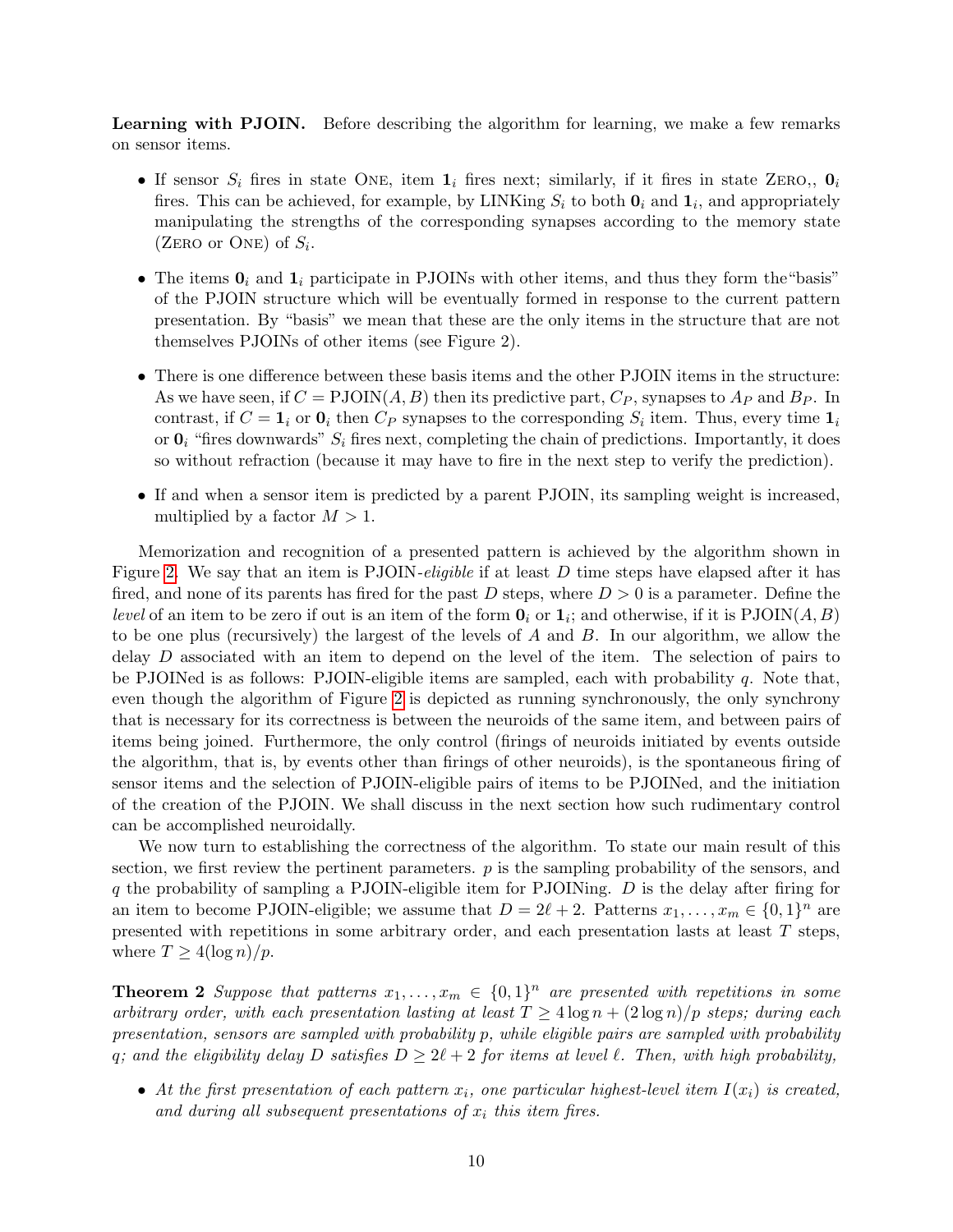Learning with PJOIN. Before describing the algorithm for learning, we make a few remarks on sensor items.

- If sensor  $S_i$  fires in state ONE, item  $\mathbf{1}_i$  fires next; similarly, if it fires in state ZERO,,  $\mathbf{0}_i$ fires. This can be achieved, for example, by LINKing  $S_i$  to both  $\mathbf{0}_i$  and  $\mathbf{1}_i$ , and appropriately manipulating the strengths of the corresponding synapses according to the memory state (ZERO or ONE) of  $S_i$ .
- The items  $\mathbf{0}_i$  and  $\mathbf{1}_i$  participate in PJOINs with other items, and thus they form the "basis" of the PJOIN structure which will be eventually formed in response to the current pattern presentation. By "basis" we mean that these are the only items in the structure that are not themselves PJOINs of other items (see Figure 2).
- There is one difference between these basis items and the other PJOIN items in the structure: As we have seen, if  $C = \text{PJOIN}(A, B)$  then its predictive part,  $C_P$ , synapses to  $A_P$  and  $B_P$ . In contrast, if  $C = \mathbf{1}_i$  or  $\mathbf{0}_i$  then  $C_P$  synapses to the corresponding  $S_i$  item. Thus, every time  $\mathbf{1}_i$ or  $\mathbf{0}_i$  "fires downwards"  $S_i$  fires next, completing the chain of predictions. Importantly, it does so without refraction (because it may have to fire in the next step to verify the prediction).
- If and when a sensor item is predicted by a parent PJOIN, its sampling weight is increased, multiplied by a factor  $M > 1$ .

Memorization and recognition of a presented pattern is achieved by the algorithm shown in Figure [2.](#page-10-0) We say that an item is PJOIN-eligible if at least D time steps have elapsed after it has fired, and none of its parents has fired for the past D steps, where  $D > 0$  is a parameter. Define the *level* of an item to be zero if out is an item of the form  $\mathbf{0}_i$  or  $\mathbf{1}_i$ ; and otherwise, if it is  $\text{PJOIN}(A, B)$ to be one plus (recursively) the largest of the levels of  $A$  and  $B$ . In our algorithm, we allow the delay D associated with an item to depend on the level of the item. The selection of pairs to be PJOINed is as follows: PJOIN-eligible items are sampled, each with probability  $q$ . Note that, even though the algorithm of Figure [2](#page-10-0) is depicted as running synchronously, the only synchrony that is necessary for its correctness is between the neuroids of the same item, and between pairs of items being joined. Furthermore, the only control (firings of neuroids initiated by events outside the algorithm, that is, by events other than firings of other neuroids), is the spontaneous firing of sensor items and the selection of PJOIN-eligible pairs of items to be PJOINed, and the initiation of the creation of the PJOIN. We shall discuss in the next section how such rudimentary control can be accomplished neuroidally.

We now turn to establishing the correctness of the algorithm. To state our main result of this section, we first review the pertinent parameters.  $p$  is the sampling probability of the sensors, and  $q$  the probability of sampling a PJOIN-eligible item for PJOINing.  $D$  is the delay after firing for an item to become PJOIN-eligible; we assume that  $D = 2\ell + 2$ . Patterns  $x_1, \ldots, x_m \in \{0, 1\}^n$  are presented with repetitions in some arbitrary order, and each presentation lasts at least T steps, where  $T \geq 4(\log n)/p$ .

<span id="page-9-0"></span>**Theorem 2** Suppose that patterns  $x_1, \ldots, x_m \in \{0,1\}^n$  are presented with repetitions in some arbitrary order, with each presentation lasting at least  $T \geq 4 \log n + (2 \log n)/p$  steps; during each presentation, sensors are sampled with probability p, while eligible pairs are sampled with probability q; and the eligibility delay D satisfies  $D \geq 2\ell + 2$  for items at level  $\ell$ . Then, with high probability,

• At the first presentation of each pattern  $x_i$ , one particular highest-level item  $I(x_i)$  is created, and during all subsequent presentations of  $x_i$  this item fires.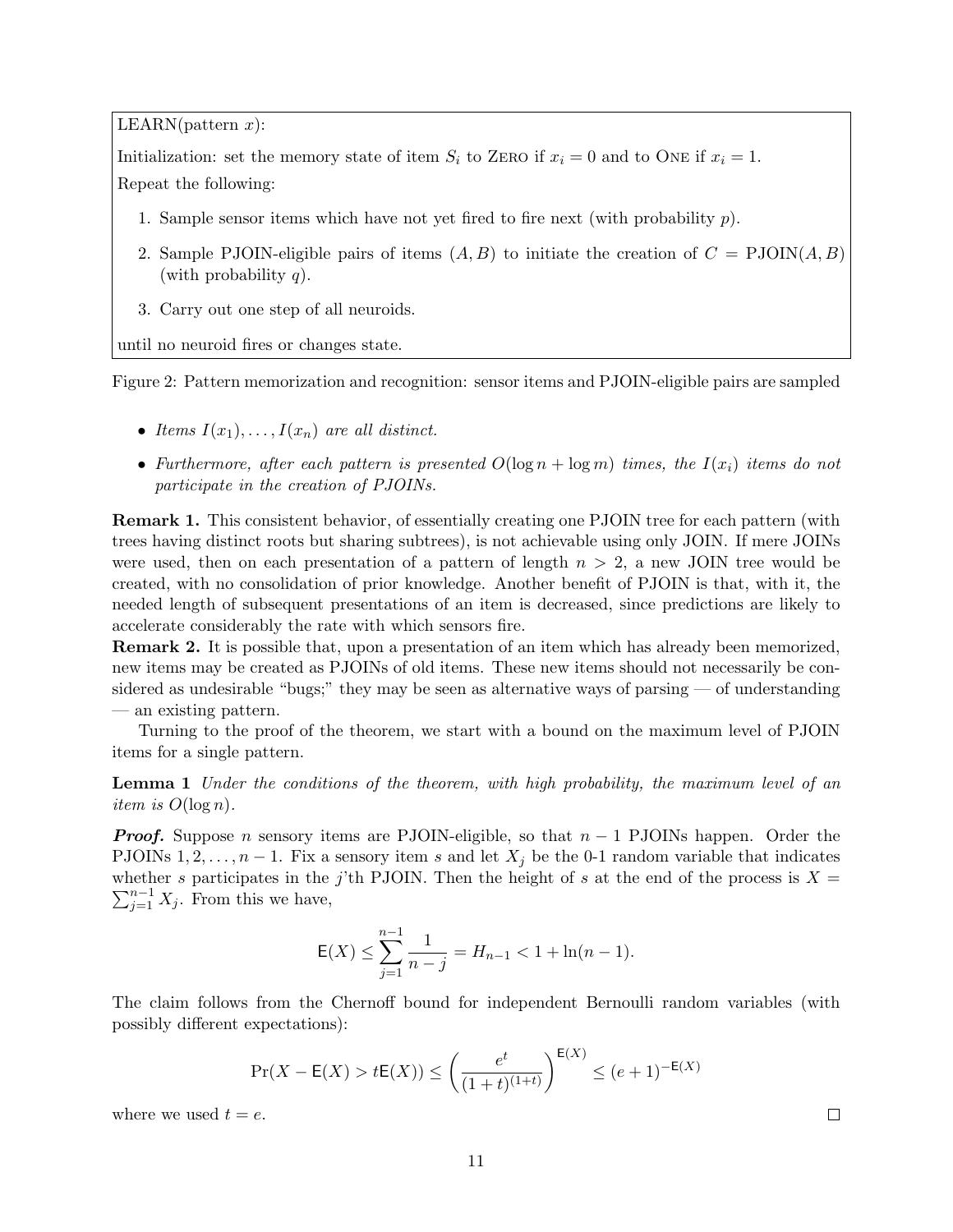$LEARN(pattern x)$ :

Initialization: set the memory state of item  $S_i$  to ZERO if  $x_i = 0$  and to ONE if  $x_i = 1$ . Repeat the following:

- 1. Sample sensor items which have not yet fired to fire next (with probability  $p$ ).
- 2. Sample PJOIN-eligible pairs of items  $(A, B)$  to initiate the creation of  $C = \text{PJOIN}(A, B)$ (with probability  $q$ ).
- 3. Carry out one step of all neuroids.

until no neuroid fires or changes state.

Figure 2: Pattern memorization and recognition: sensor items and PJOIN-eligible pairs are sampled

- <span id="page-10-0"></span>• Items  $I(x_1), \ldots, I(x_n)$  are all distinct.
- Furthermore, after each pattern is presented  $O(\log n + \log m)$  times, the  $I(x_i)$  items do not participate in the creation of PJOINs.

Remark 1. This consistent behavior, of essentially creating one PJOIN tree for each pattern (with trees having distinct roots but sharing subtrees), is not achievable using only JOIN. If mere JOINs were used, then on each presentation of a pattern of length  $n > 2$ , a new JOIN tree would be created, with no consolidation of prior knowledge. Another benefit of PJOIN is that, with it, the needed length of subsequent presentations of an item is decreased, since predictions are likely to accelerate considerably the rate with which sensors fire.

Remark 2. It is possible that, upon a presentation of an item which has already been memorized, new items may be created as PJOINs of old items. These new items should not necessarily be considered as undesirable "bugs;" they may be seen as alternative ways of parsing — of understanding — an existing pattern.

Turning to the proof of the theorem, we start with a bound on the maximum level of PJOIN items for a single pattern.

**Lemma 1** Under the conditions of the theorem, with high probability, the maximum level of an *item is*  $O(\log n)$ .

**Proof.** Suppose n sensory items are PJOIN-eligible, so that  $n-1$  PJOINs happen. Order the PJOINs  $1, 2, \ldots, n-1$ . Fix a sensory item s and let  $X_i$  be the 0-1 random variable that indicates  $\sum_{j=1}^{n-1} X_j$ . From this we have, whether s participates in the j'th PJOIN. Then the height of s at the end of the process is  $X =$ 

$$
\mathsf{E}(X) \le \sum_{j=1}^{n-1} \frac{1}{n-j} = H_{n-1} < 1 + \ln(n-1).
$$

The claim follows from the Chernoff bound for independent Bernoulli random variables (with possibly different expectations):

$$
\Pr(X - \mathsf{E}(X) > t\mathsf{E}(X)) \le \left(\frac{e^t}{(1+t)^{(1+t)}}\right)^{\mathsf{E}(X)} \le (e+1)^{-\mathsf{E}(X)}
$$

where we used  $t = e$ .

 $\Box$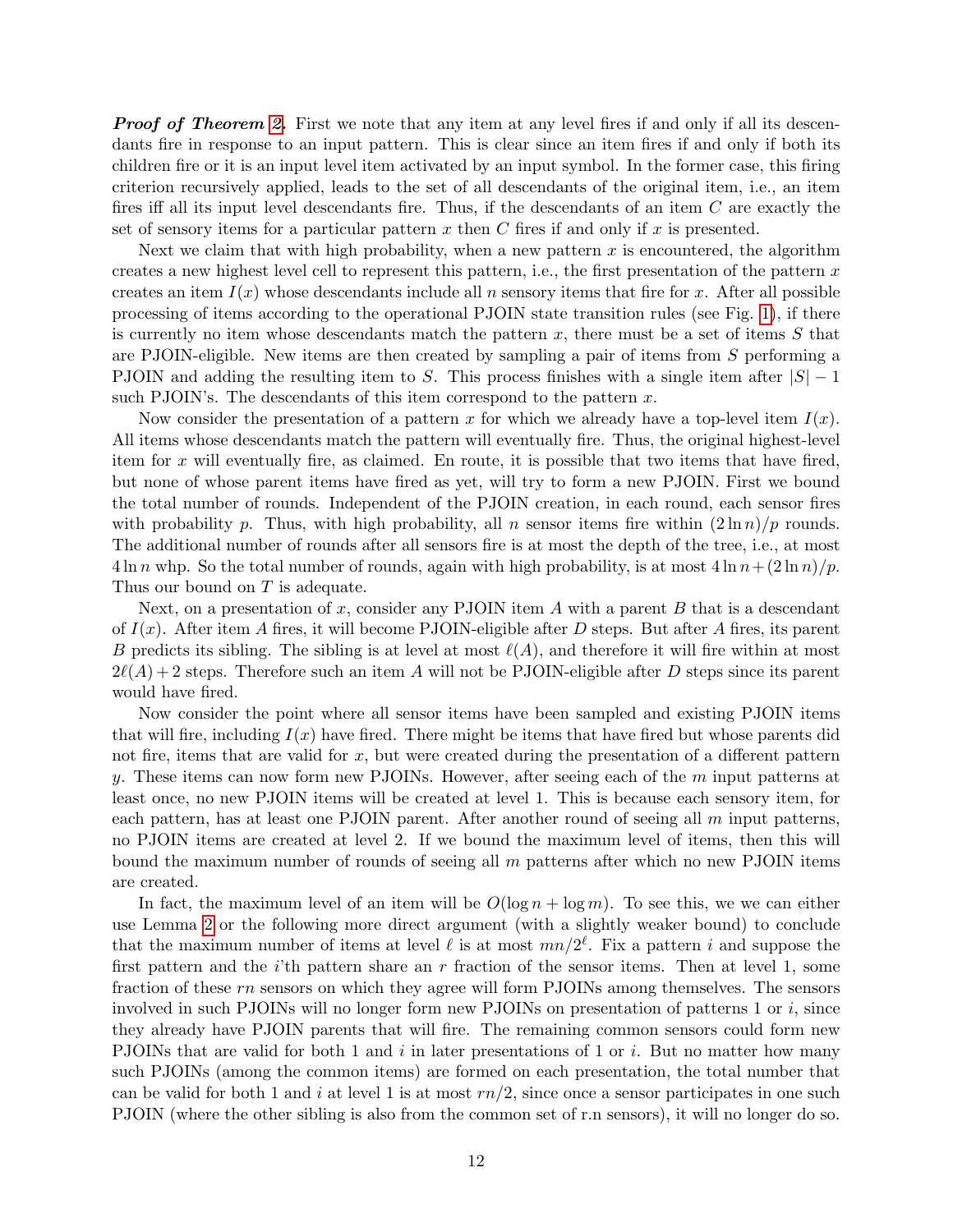**Proof of Theorem [2.](#page-9-0)** First we note that any item at any level fires if and only if all its descendants fire in response to an input pattern. This is clear since an item fires if and only if both its children fire or it is an input level item activated by an input symbol. In the former case, this firing criterion recursively applied, leads to the set of all descendants of the original item, i.e., an item fires iff all its input level descendants fire. Thus, if the descendants of an item C are exactly the set of sensory items for a particular pattern x then C fires if and only if x is presented.

Next we claim that with high probability, when a new pattern  $x$  is encountered, the algorithm creates a new highest level cell to represent this pattern, i.e., the first presentation of the pattern  $x$ creates an item  $I(x)$  whose descendants include all n sensory items that fire for x. After all possible processing of items according to the operational PJOIN state transition rules (see Fig. [1\)](#page-7-0), if there is currently no item whose descendants match the pattern  $x$ , there must be a set of items  $S$  that are PJOIN-eligible. New items are then created by sampling a pair of items from  $S$  performing a PJOIN and adding the resulting item to S. This process finishes with a single item after  $|S| - 1$ such PJOIN's. The descendants of this item correspond to the pattern  $x$ .

Now consider the presentation of a pattern x for which we already have a top-level item  $I(x)$ . All items whose descendants match the pattern will eventually fire. Thus, the original highest-level item for  $x$  will eventually fire, as claimed. En route, it is possible that two items that have fired, but none of whose parent items have fired as yet, will try to form a new PJOIN. First we bound the total number of rounds. Independent of the PJOIN creation, in each round, each sensor fires with probability p. Thus, with high probability, all n sensor items fire within  $(2 \ln n)/p$  rounds. The additional number of rounds after all sensors fire is at most the depth of the tree, i.e., at most  $4 \ln n$  whp. So the total number of rounds, again with high probability, is at most  $4 \ln n + (2 \ln n)/p$ . Thus our bound on T is adequate.

Next, on a presentation of x, consider any PJOIN item  $A$  with a parent  $B$  that is a descendant of  $I(x)$ . After item A fires, it will become PJOIN-eligible after D steps. But after A fires, its parent B predicts its sibling. The sibling is at level at most  $\ell(A)$ , and therefore it will fire within at most  $2\ell(A) + 2$  steps. Therefore such an item A will not be PJOIN-eligible after D steps since its parent would have fired.

Now consider the point where all sensor items have been sampled and existing PJOIN items that will fire, including  $I(x)$  have fired. There might be items that have fired but whose parents did not fire, items that are valid for  $x$ , but were created during the presentation of a different pattern y. These items can now form new PJOINs. However, after seeing each of the  $m$  input patterns at least once, no new PJOIN items will be created at level 1. This is because each sensory item, for each pattern, has at least one PJOIN parent. After another round of seeing all  $m$  input patterns, no PJOIN items are created at level 2. If we bound the maximum level of items, then this will bound the maximum number of rounds of seeing all m patterns after which no new PJOIN items are created.

In fact, the maximum level of an item will be  $O(\log n + \log m)$ . To see this, we we can either use Lemma [2](#page-12-0) or the following more direct argument (with a slightly weaker bound) to conclude that the maximum number of items at level  $\ell$  is at most  $mn/2^{\ell}$ . Fix a pattern i and suppose the first pattern and the  $i$ 'th pattern share an r fraction of the sensor items. Then at level 1, some fraction of these rn sensors on which they agree will form PJOINs among themselves. The sensors involved in such PJOINs will no longer form new PJOINs on presentation of patterns 1 or  $i$ , since they already have PJOIN parents that will fire. The remaining common sensors could form new PJOINs that are valid for both 1 and  $i$  in later presentations of 1 or  $i$ . But no matter how many such PJOINs (among the common items) are formed on each presentation, the total number that can be valid for both 1 and i at level 1 is at most  $rn/2$ , since once a sensor participates in one such PJOIN (where the other sibling is also from the common set of r.n sensors), it will no longer do so.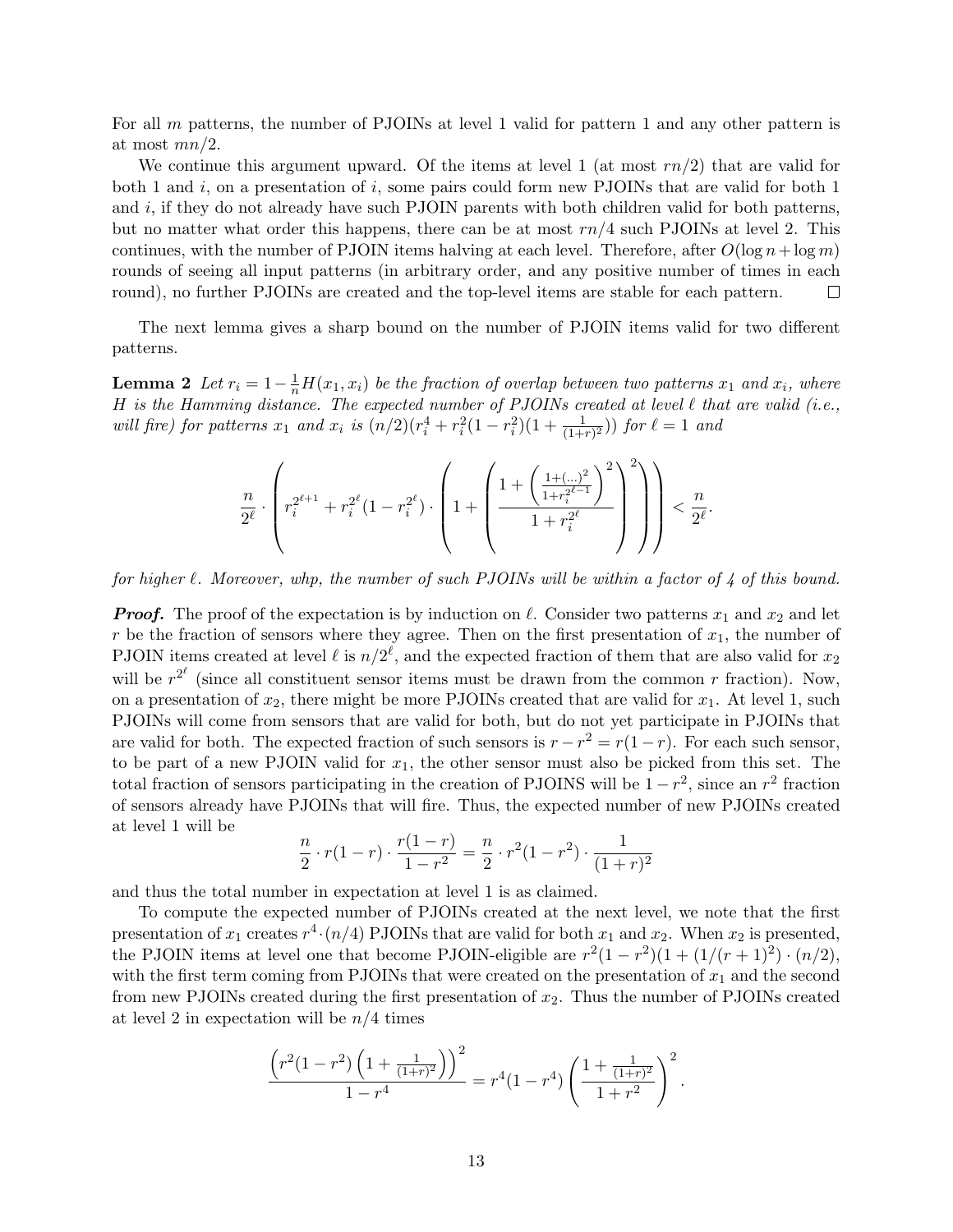For all m patterns, the number of PJOINs at level 1 valid for pattern 1 and any other pattern is at most  $mn/2$ .

We continue this argument upward. Of the items at level 1 (at most  $rn/2$ ) that are valid for both 1 and i, on a presentation of i, some pairs could form new PJOINs that are valid for both 1 and  $i$ , if they do not already have such PJOIN parents with both children valid for both patterns, but no matter what order this happens, there can be at most  $rn/4$  such PJOINs at level 2. This continues, with the number of PJOIN items halving at each level. Therefore, after  $O(\log n + \log m)$ rounds of seeing all input patterns (in arbitrary order, and any positive number of times in each round), no further PJOINs are created and the top-level items are stable for each pattern.  $\Box$ 

<span id="page-12-0"></span>The next lemma gives a sharp bound on the number of PJOIN items valid for two different patterns.

**Lemma 2** Let  $r_i = 1 - \frac{1}{n}H(x_1, x_i)$  be the fraction of overlap between two patterns  $x_1$  and  $x_i$ , where H is the Hamming distance. The expected number of PJOINs created at level  $\ell$  that are valid (i.e., will fire) for patterns  $x_1$  and  $x_i$  is  $(n/2)(r_i^4 + r_i^2(1 - r_i^2)(1 + \frac{1}{(1+r)^2}))$  for  $\ell = 1$  and

$$
\frac{n}{2^\ell} \cdot \left( r_i^{2^{\ell+1}} + r_i^{2^\ell} (1-r_i^{2^\ell}) \cdot \left( 1 + \left( \frac{1 + \left( \frac{1 + (\ldots)^2}{1+r_i^{2^{\ell-1}}} \right)^2}{1+r_i^{2^\ell}} \right)^2 \right) \right) < \frac{n}{2^\ell}.
$$

for higher  $\ell$ . Moreover, whp, the number of such PJOINs will be within a factor of 4 of this bound.

**Proof.** The proof of the expectation is by induction on  $\ell$ . Consider two patterns  $x_1$  and  $x_2$  and let r be the fraction of sensors where they agree. Then on the first presentation of  $x_1$ , the number of PJOIN items created at level  $\ell$  is  $n/2^{\ell}$ , and the expected fraction of them that are also valid for  $x_2$ will be  $r^{2^{\ell}}$  (since all constituent sensor items must be drawn from the common r fraction). Now, on a presentation of  $x_2$ , there might be more PJOINs created that are valid for  $x_1$ . At level 1, such PJOINs will come from sensors that are valid for both, but do not yet participate in PJOINs that are valid for both. The expected fraction of such sensors is  $r - r^2 = r(1 - r)$ . For each such sensor, to be part of a new PJOIN valid for  $x_1$ , the other sensor must also be picked from this set. The total fraction of sensors participating in the creation of PJOINS will be  $1 - r^2$ , since an  $r^2$  fraction of sensors already have PJOINs that will fire. Thus, the expected number of new PJOINs created at level 1 will be

$$
\frac{n}{2} \cdot r(1-r) \cdot \frac{r(1-r)}{1-r^2} = \frac{n}{2} \cdot r^2(1-r^2) \cdot \frac{1}{(1+r)^2}
$$

and thus the total number in expectation at level 1 is as claimed.

To compute the expected number of PJOINs created at the next level, we note that the first presentation of  $x_1$  creates  $r^4 \cdot (n/4)$  PJOINs that are valid for both  $x_1$  and  $x_2$ . When  $x_2$  is presented, the PJOIN items at level one that become PJOIN-eligible are  $r^2(1 - r^2)(1 + (1/(r+1)^2) \cdot (n/2))$ , with the first term coming from PJOINs that were created on the presentation of  $x_1$  and the second from new PJOINs created during the first presentation of  $x_2$ . Thus the number of PJOINs created at level 2 in expectation will be  $n/4$  times

$$
\frac{\left(r^2(1-r^2)\left(1+\frac{1}{(1+r)^2}\right)\right)^2}{1-r^4} = r^4(1-r^4)\left(\frac{1+\frac{1}{(1+r)^2}}{1+r^2}\right)^2.
$$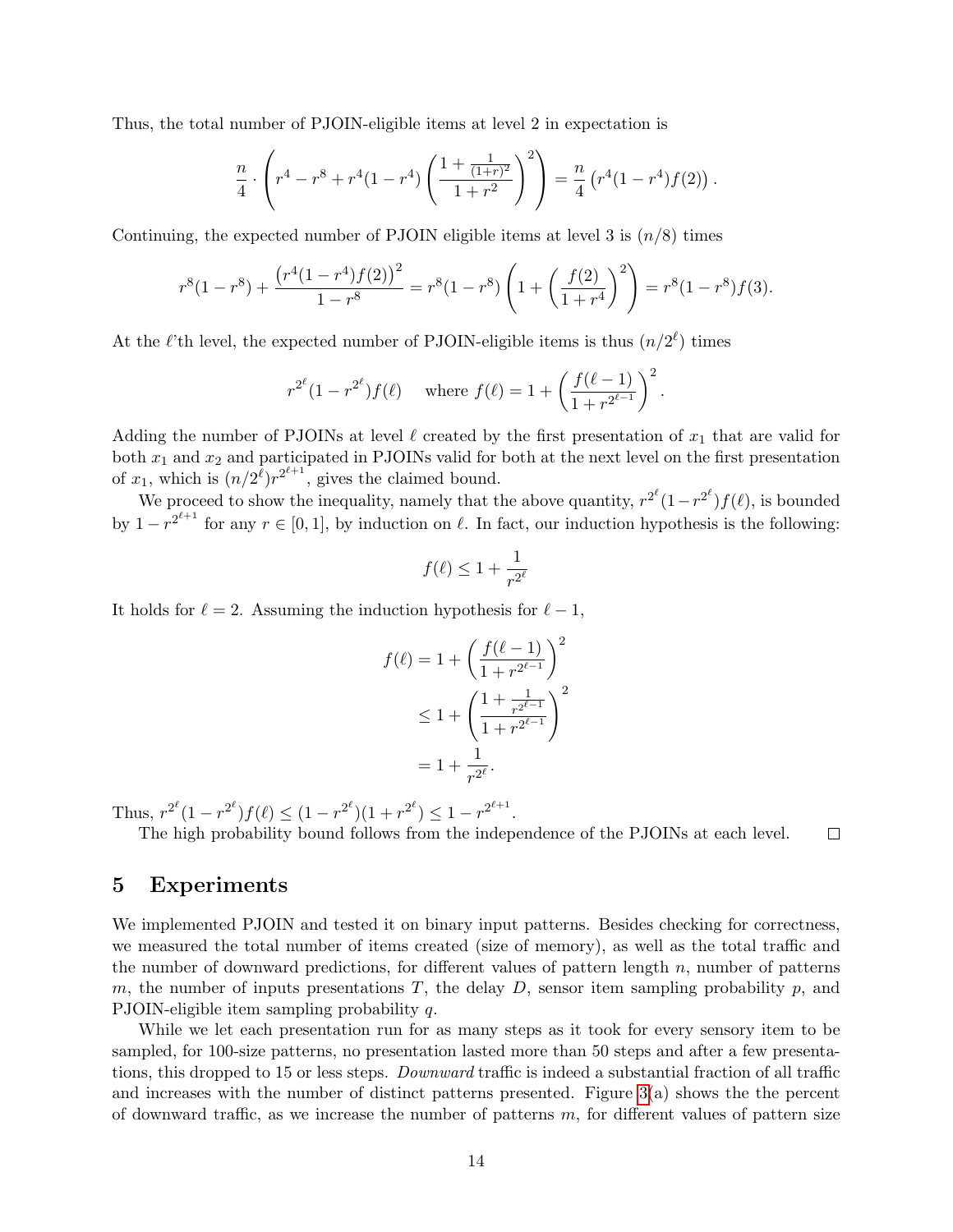Thus, the total number of PJOIN-eligible items at level 2 in expectation is

$$
\frac{n}{4} \cdot \left( r^4 - r^8 + r^4 (1 - r^4) \left( \frac{1 + \frac{1}{(1+r)^2}}{1+r^2} \right)^2 \right) = \frac{n}{4} \left( r^4 (1 - r^4) f(2) \right).
$$

Continuing, the expected number of PJOIN eligible items at level 3 is  $(n/8)$  times

$$
r^{8}(1-r^{8}) + \frac{(r^{4}(1-r^{4})f(2))^{2}}{1-r^{8}} = r^{8}(1-r^{8})\left(1+\left(\frac{f(2)}{1+r^{4}}\right)^{2}\right) = r^{8}(1-r^{8})f(3).
$$

At the  $\ell$ 'th level, the expected number of PJOIN-eligible items is thus  $(n/2^{\ell})$  times

$$
r^{2^{\ell}}(1-r^{2^{\ell}})f(\ell)
$$
 where  $f(\ell) = 1 + \left(\frac{f(\ell-1)}{1+r^{2^{\ell-1}}}\right)^2$ .

Adding the number of PJOINs at level  $\ell$  created by the first presentation of  $x_1$  that are valid for both  $x_1$  and  $x_2$  and participated in PJOINs valid for both at the next level on the first presentation of  $x_1$ , which is  $(n/2^{\ell})r^{2^{\ell+1}}$ , gives the claimed bound.

We proceed to show the inequality, namely that the above quantity,  $r^{2^{\ell}}(1-r^{2^{\ell}})f(\ell)$ , is bounded by  $1 - r^{2^{\ell+1}}$  for any  $r \in [0, 1]$ , by induction on  $\ell$ . In fact, our induction hypothesis is the following:

$$
f(\ell) \leq 1 + \frac{1}{r^{2^\ell}}
$$

It holds for  $\ell = 2$ . Assuming the induction hypothesis for  $\ell - 1$ ,

$$
f(\ell) = 1 + \left(\frac{f(\ell-1)}{1+r^{2\ell-1}}\right)^2
$$
  
\n
$$
\leq 1 + \left(\frac{1+\frac{1}{r^{2\ell-1}}}{1+r^{2\ell-1}}\right)^2
$$
  
\n
$$
= 1 + \frac{1}{r^{2\ell}}.
$$

Thus,  $r^{2^{\ell}}(1 - r^{2^{\ell}})f(\ell) \le (1 - r^{2^{\ell}})(1 + r^{2^{\ell}}) \le 1 - r^{2^{\ell+1}}$ .

The high probability bound follows from the independence of the PJOINs at each level.  $\Box$ 

### <span id="page-13-0"></span>5 Experiments

We implemented PJOIN and tested it on binary input patterns. Besides checking for correctness, we measured the total number of items created (size of memory), as well as the total traffic and the number of downward predictions, for different values of pattern length  $n$ , number of patterns m, the number of inputs presentations  $T$ , the delay  $D$ , sensor item sampling probability  $p$ , and PJOIN-eligible item sampling probability  $q$ .

While we let each presentation run for as many steps as it took for every sensory item to be sampled, for 100-size patterns, no presentation lasted more than 50 steps and after a few presentations, this dropped to 15 or less steps. Downward traffic is indeed a substantial fraction of all traffic and increases with the number of distinct patterns presented. Figure  $3(a)$  shows the the percent of downward traffic, as we increase the number of patterns  $m$ , for different values of pattern size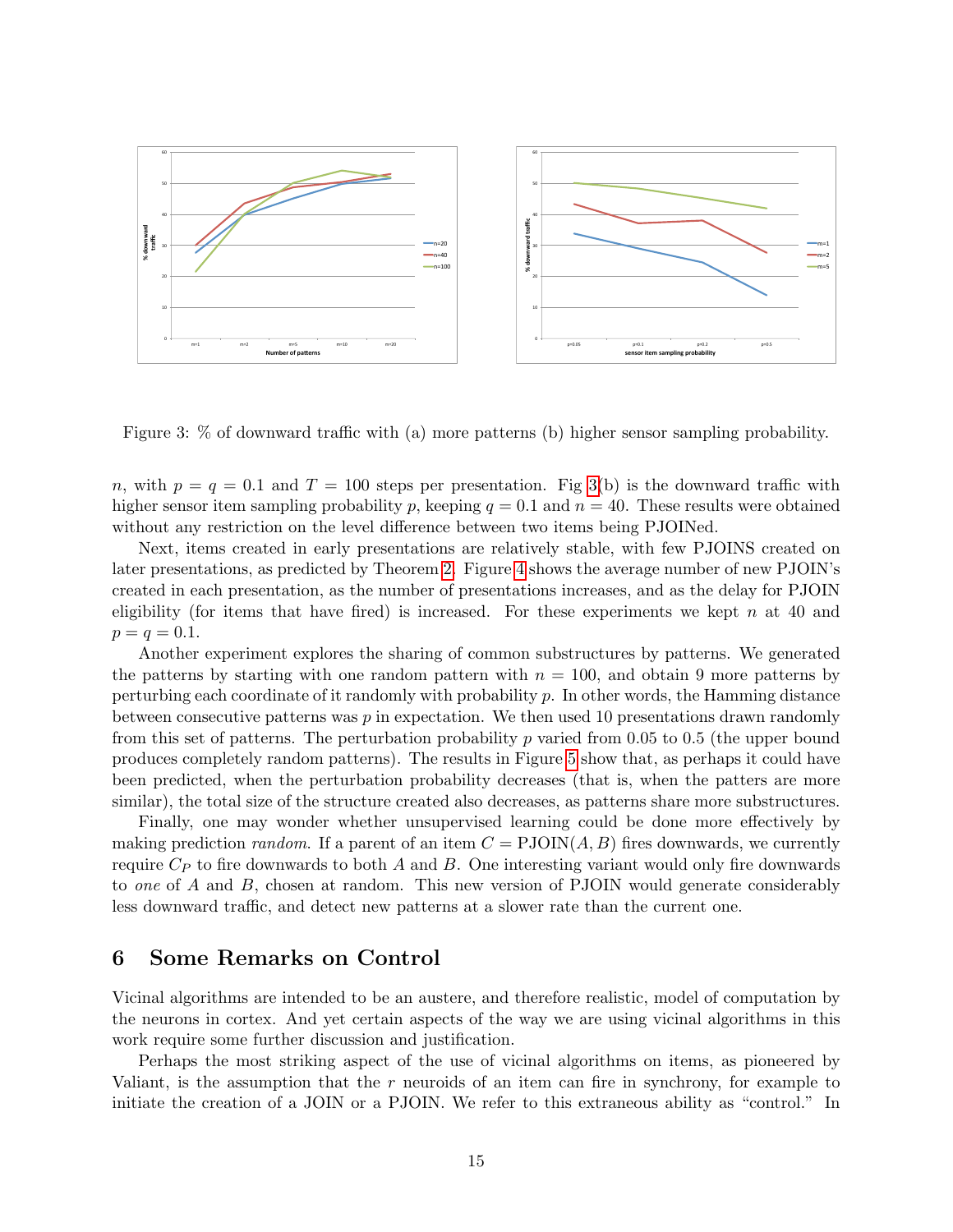

<span id="page-14-1"></span>Figure 3: % of downward traffic with (a) more patterns (b) higher sensor sampling probability.

n, with  $p = q = 0.1$  and  $T = 100$  steps per presentation. Fig [3\(](#page-14-1)b) is the downward traffic with higher sensor item sampling probability p, keeping  $q = 0.1$  and  $n = 40$ . These results were obtained without any restriction on the level difference between two items being PJOINed.

Next, items created in early presentations are relatively stable, with few PJOINS created on later presentations, as predicted by Theorem [2.](#page-9-0) Figure [4](#page-15-1) shows the average number of new PJOIN's created in each presentation, as the number of presentations increases, and as the delay for PJOIN eligibility (for items that have fired) is increased. For these experiments we kept n at 40 and  $p = q = 0.1$ .

Another experiment explores the sharing of common substructures by patterns. We generated the patterns by starting with one random pattern with  $n = 100$ , and obtain 9 more patterns by perturbing each coordinate of it randomly with probability  $p$ . In other words, the Hamming distance between consecutive patterns was  $p$  in expectation. We then used 10 presentations drawn randomly from this set of patterns. The perturbation probability  $p$  varied from 0.05 to 0.5 (the upper bound produces completely random patterns). The results in Figure [5](#page-16-0) show that, as perhaps it could have been predicted, when the perturbation probability decreases (that is, when the patters are more similar), the total size of the structure created also decreases, as patterns share more substructures.

Finally, one may wonder whether unsupervised learning could be done more effectively by making prediction *random*. If a parent of an item  $C = \text{PJOIN}(A, B)$  fires downwards, we currently require  $C_P$  to fire downwards to both A and B. One interesting variant would only fire downwards to one of A and B, chosen at random. This new version of PJOIN would generate considerably less downward traffic, and detect new patterns at a slower rate than the current one.

### <span id="page-14-0"></span>6 Some Remarks on Control

Vicinal algorithms are intended to be an austere, and therefore realistic, model of computation by the neurons in cortex. And yet certain aspects of the way we are using vicinal algorithms in this work require some further discussion and justification.

Perhaps the most striking aspect of the use of vicinal algorithms on items, as pioneered by Valiant, is the assumption that the  $r$  neuroids of an item can fire in synchrony, for example to initiate the creation of a JOIN or a PJOIN. We refer to this extraneous ability as "control." In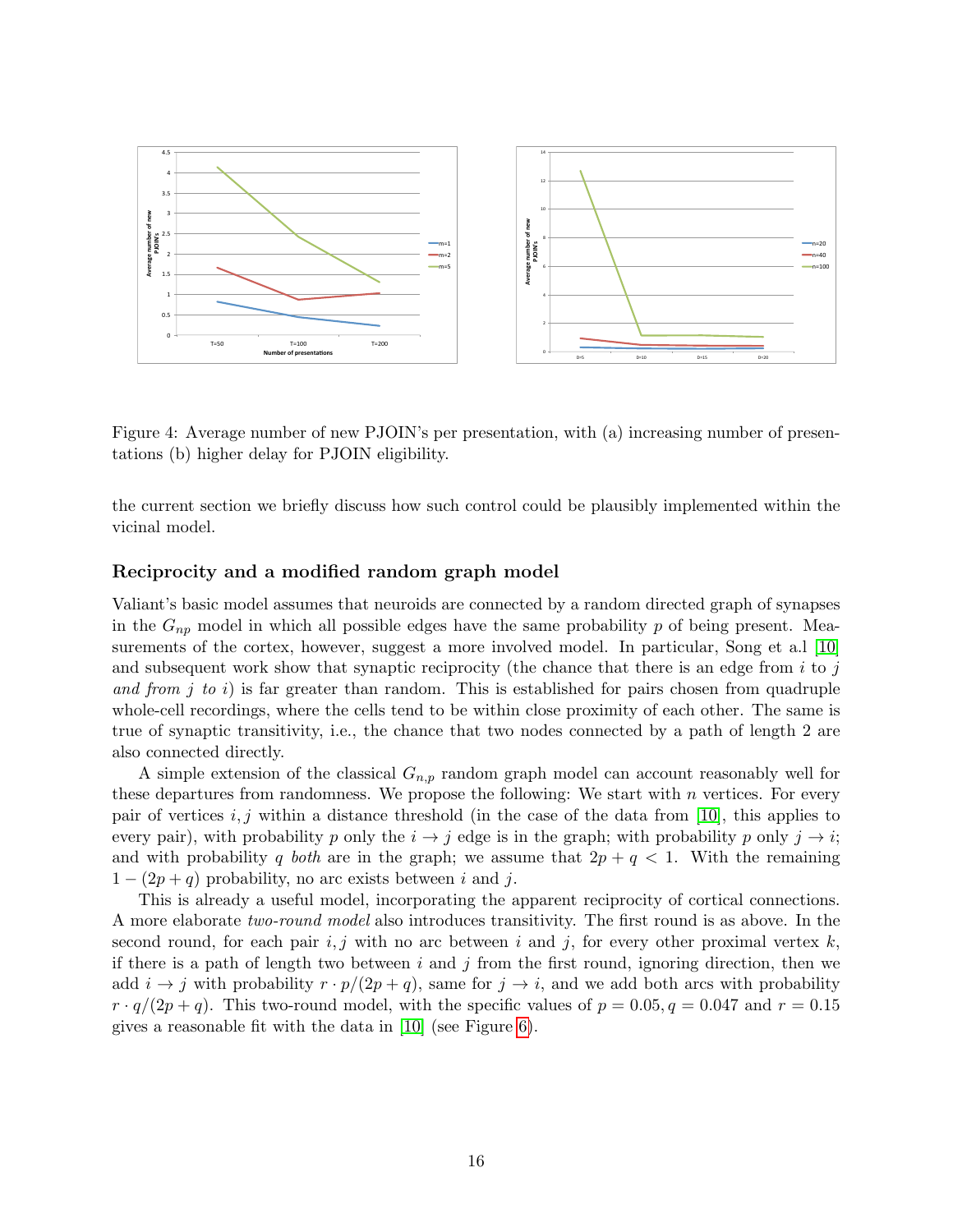

<span id="page-15-1"></span>Figure 4: Average number of new PJOIN's per presentation, with (a) increasing number of presentations (b) higher delay for PJOIN eligibility.

the current section we briefly discuss how such control could be plausibly implemented within the vicinal model.

### <span id="page-15-0"></span>Reciprocity and a modified random graph model

Valiant's basic model assumes that neuroids are connected by a random directed graph of synapses in the  $G_{np}$  model in which all possible edges have the same probability p of being present. Mea-surements of the cortex, however, suggest a more involved model. In particular, Song et a.l [\[10\]](#page-19-6) and subsequent work show that synaptic reciprocity (the chance that there is an edge from  $i$  to  $j$ and from j to i) is far greater than random. This is established for pairs chosen from quadruple whole-cell recordings, where the cells tend to be within close proximity of each other. The same is true of synaptic transitivity, i.e., the chance that two nodes connected by a path of length 2 are also connected directly.

A simple extension of the classical  $G_{n,p}$  random graph model can account reasonably well for these departures from randomness. We propose the following: We start with  $n$  vertices. For every pair of vertices i, j within a distance threshold (in the case of the data from [\[10\]](#page-19-6), this applies to every pair), with probability p only the  $i \rightarrow j$  edge is in the graph; with probability p only  $j \rightarrow i$ ; and with probability q both are in the graph; we assume that  $2p + q < 1$ . With the remaining  $1 - (2p + q)$  probability, no arc exists between i and j.

This is already a useful model, incorporating the apparent reciprocity of cortical connections. A more elaborate two-round model also introduces transitivity. The first round is as above. In the second round, for each pair i, j with no arc between i and j, for every other proximal vertex  $k$ , if there is a path of length two between i and j from the first round, ignoring direction, then we add  $i \rightarrow j$  with probability  $r \cdot p/(2p+q)$ , same for  $j \rightarrow i$ , and we add both arcs with probability  $r \cdot q/(2p+q)$ . This two-round model, with the specific values of  $p = 0.05, q = 0.047$  and  $r = 0.15$ gives a reasonable fit with the data in [\[10\]](#page-19-6) (see Figure [6\)](#page-17-0).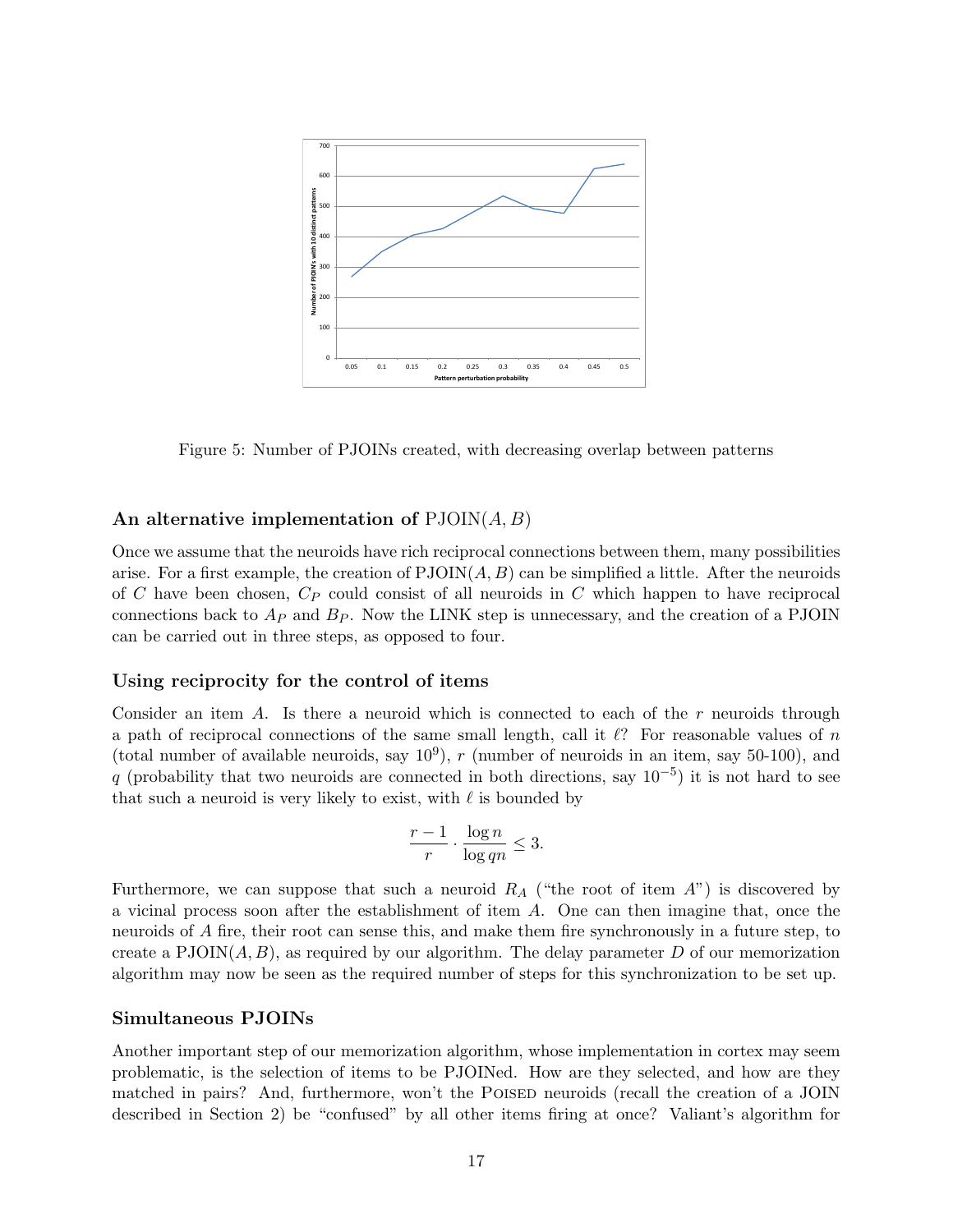

<span id="page-16-0"></span>Figure 5: Number of PJOINs created, with decreasing overlap between patterns

### An alternative implementation of  $PJOIN(A, B)$

Once we assume that the neuroids have rich reciprocal connections between them, many possibilities arise. For a first example, the creation of  $PJOIN(A, B)$  can be simplified a little. After the neuroids of  $C$  have been chosen,  $C_P$  could consist of all neuroids in  $C$  which happen to have reciprocal connections back to  $A_P$  and  $B_P$ . Now the LINK step is unnecessary, and the creation of a PJOIN can be carried out in three steps, as opposed to four.

### Using reciprocity for the control of items

Consider an item A. Is there a neuroid which is connected to each of the r neuroids through a path of reciprocal connections of the same small length, call it  $\ell$ ? For reasonable values of n (total number of available neuroids, say  $10^9$ ), r (number of neuroids in an item, say 50-100), and q (probability that two neuroids are connected in both directions, say  $10^{-5}$ ) it is not hard to see that such a neuroid is very likely to exist, with  $\ell$  is bounded by

$$
\frac{r-1}{r} \cdot \frac{\log n}{\log qn} \le 3.
$$

Furthermore, we can suppose that such a neuroid  $R_A$  ("the root of item  $A$ ") is discovered by a vicinal process soon after the establishment of item A. One can then imagine that, once the neuroids of A fire, their root can sense this, and make them fire synchronously in a future step, to create a PJOIN( $A, B$ ), as required by our algorithm. The delay parameter D of our memorization algorithm may now be seen as the required number of steps for this synchronization to be set up.

#### Simultaneous PJOINs

Another important step of our memorization algorithm, whose implementation in cortex may seem problematic, is the selection of items to be PJOINed. How are they selected, and how are they matched in pairs? And, furthermore, won't the POISED neuroids (recall the creation of a JOIN described in Section 2) be "confused" by all other items firing at once? Valiant's algorithm for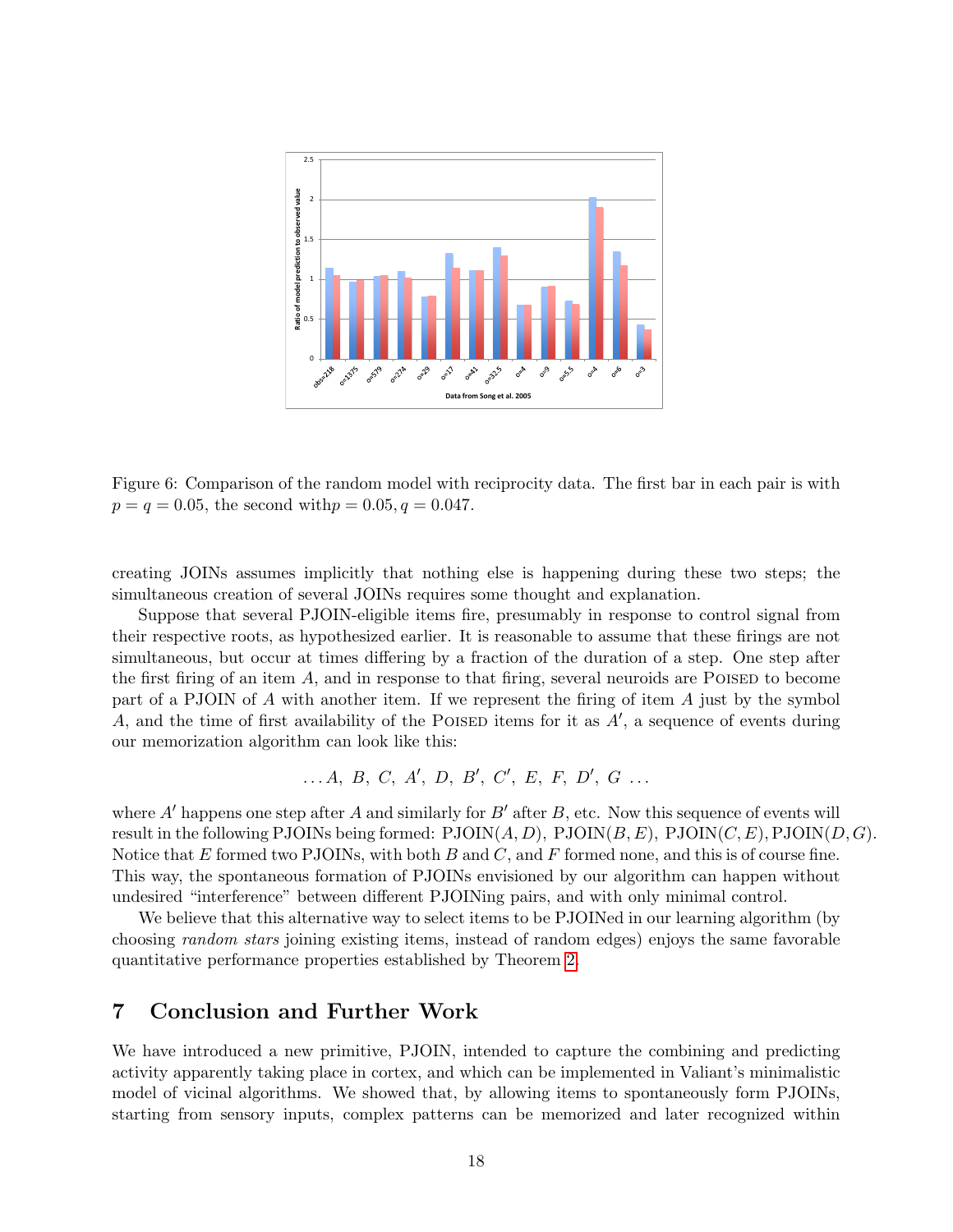

<span id="page-17-0"></span>Figure 6: Comparison of the random model with reciprocity data. The first bar in each pair is with  $p = q = 0.05$ , the second with  $p = 0.05, q = 0.047$ .

creating JOINs assumes implicitly that nothing else is happening during these two steps; the simultaneous creation of several JOINs requires some thought and explanation.

Suppose that several PJOIN-eligible items fire, presumably in response to control signal from their respective roots, as hypothesized earlier. It is reasonable to assume that these firings are not simultaneous, but occur at times differing by a fraction of the duration of a step. One step after the first firing of an item  $A$ , and in response to that firing, several neuroids are POISED to become part of a PJOIN of  $A$  with another item. If we represent the firing of item  $A$  just by the symbol A, and the time of first availability of the POISED items for it as  $A'$ , a sequence of events during our memorization algorithm can look like this:

$$
\ldots A, B, C, A', D, B', C', E, F, D', G \ldots
$$

where A<sup> $\prime$ </sup> happens one step after A and similarly for B<sup> $\prime$ </sup> after B, etc. Now this sequence of events will result in the following PJOINs being formed:  $PJOIN(A, D)$ ,  $PJOIN(B, E)$ ,  $PJOIN(C, E)$ ,  $PJOIN(D, G)$ . Notice that E formed two PJOINs, with both B and C, and F formed none, and this is of course fine. This way, the spontaneous formation of PJOINs envisioned by our algorithm can happen without undesired "interference" between different PJOINing pairs, and with only minimal control.

We believe that this alternative way to select items to be PJOINed in our learning algorithm (by choosing random stars joining existing items, instead of random edges) enjoys the same favorable quantitative performance properties established by Theorem [2.](#page-9-0)

### 7 Conclusion and Further Work

We have introduced a new primitive, PJOIN, intended to capture the combining and predicting activity apparently taking place in cortex, and which can be implemented in Valiant's minimalistic model of vicinal algorithms. We showed that, by allowing items to spontaneously form PJOINs, starting from sensory inputs, complex patterns can be memorized and later recognized within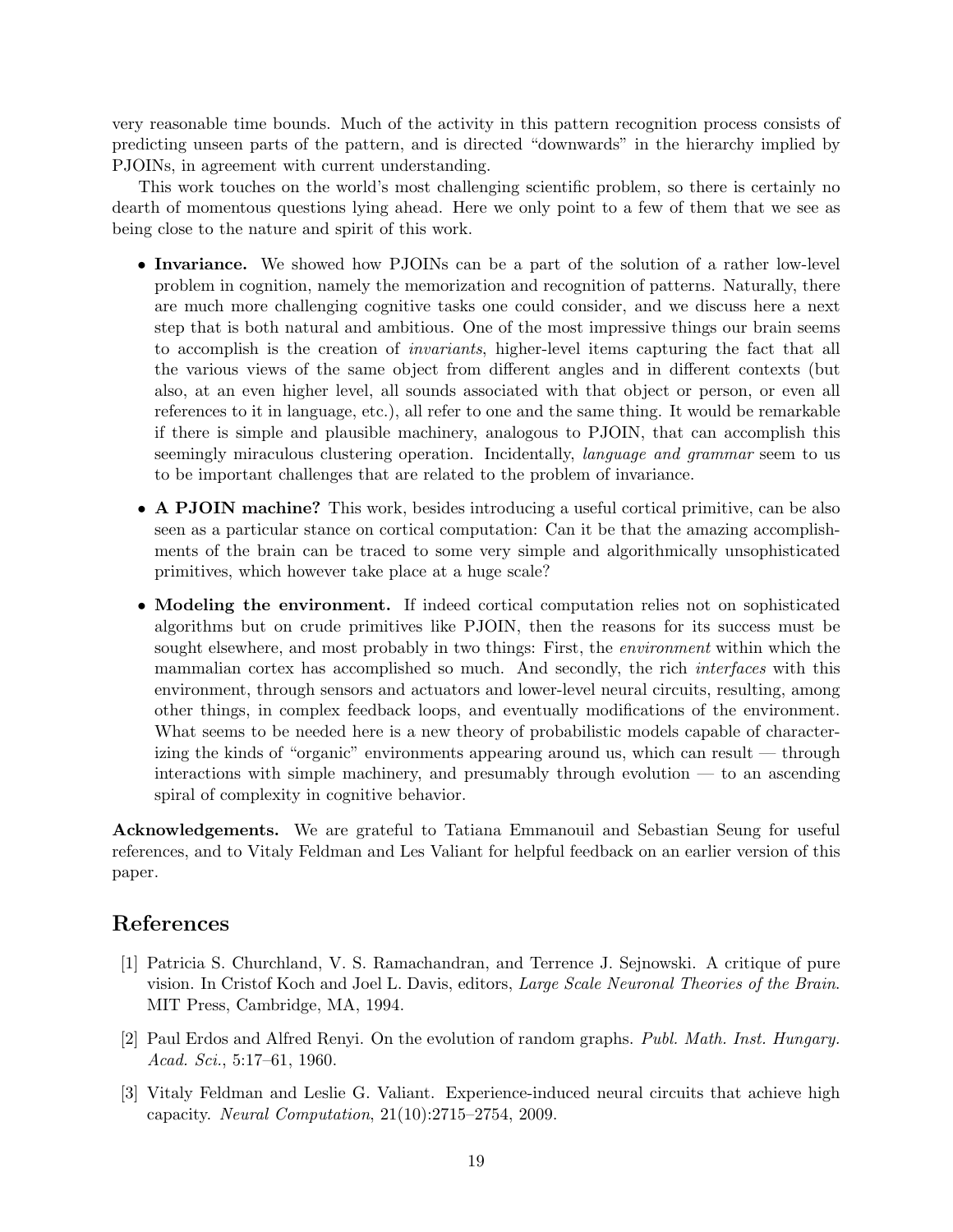very reasonable time bounds. Much of the activity in this pattern recognition process consists of predicting unseen parts of the pattern, and is directed "downwards" in the hierarchy implied by PJOINs, in agreement with current understanding.

This work touches on the world's most challenging scientific problem, so there is certainly no dearth of momentous questions lying ahead. Here we only point to a few of them that we see as being close to the nature and spirit of this work.

- Invariance. We showed how PJOINs can be a part of the solution of a rather low-level problem in cognition, namely the memorization and recognition of patterns. Naturally, there are much more challenging cognitive tasks one could consider, and we discuss here a next step that is both natural and ambitious. One of the most impressive things our brain seems to accomplish is the creation of invariants, higher-level items capturing the fact that all the various views of the same object from different angles and in different contexts (but also, at an even higher level, all sounds associated with that object or person, or even all references to it in language, etc.), all refer to one and the same thing. It would be remarkable if there is simple and plausible machinery, analogous to PJOIN, that can accomplish this seemingly miraculous clustering operation. Incidentally, *language and grammar* seem to us to be important challenges that are related to the problem of invariance.
- A PJOIN machine? This work, besides introducing a useful cortical primitive, can be also seen as a particular stance on cortical computation: Can it be that the amazing accomplishments of the brain can be traced to some very simple and algorithmically unsophisticated primitives, which however take place at a huge scale?
- Modeling the environment. If indeed cortical computation relies not on sophisticated algorithms but on crude primitives like PJOIN, then the reasons for its success must be sought elsewhere, and most probably in two things: First, the *environment* within which the mammalian cortex has accomplished so much. And secondly, the rich interfaces with this environment, through sensors and actuators and lower-level neural circuits, resulting, among other things, in complex feedback loops, and eventually modifications of the environment. What seems to be needed here is a new theory of probabilistic models capable of characterizing the kinds of "organic" environments appearing around us, which can result — through interactions with simple machinery, and presumably through evolution — to an ascending spiral of complexity in cognitive behavior.

Acknowledgements. We are grateful to Tatiana Emmanouil and Sebastian Seung for useful references, and to Vitaly Feldman and Les Valiant for helpful feedback on an earlier version of this paper.

## References

- <span id="page-18-0"></span>[1] Patricia S. Churchland, V. S. Ramachandran, and Terrence J. Sejnowski. A critique of pure vision. In Cristof Koch and Joel L. Davis, editors, Large Scale Neuronal Theories of the Brain. MIT Press, Cambridge, MA, 1994.
- <span id="page-18-1"></span>[2] Paul Erdos and Alfred Renyi. On the evolution of random graphs. Publ. Math. Inst. Hungary. Acad. Sci., 5:17–61, 1960.
- <span id="page-18-2"></span>[3] Vitaly Feldman and Leslie G. Valiant. Experience-induced neural circuits that achieve high capacity. Neural Computation, 21(10):2715–2754, 2009.